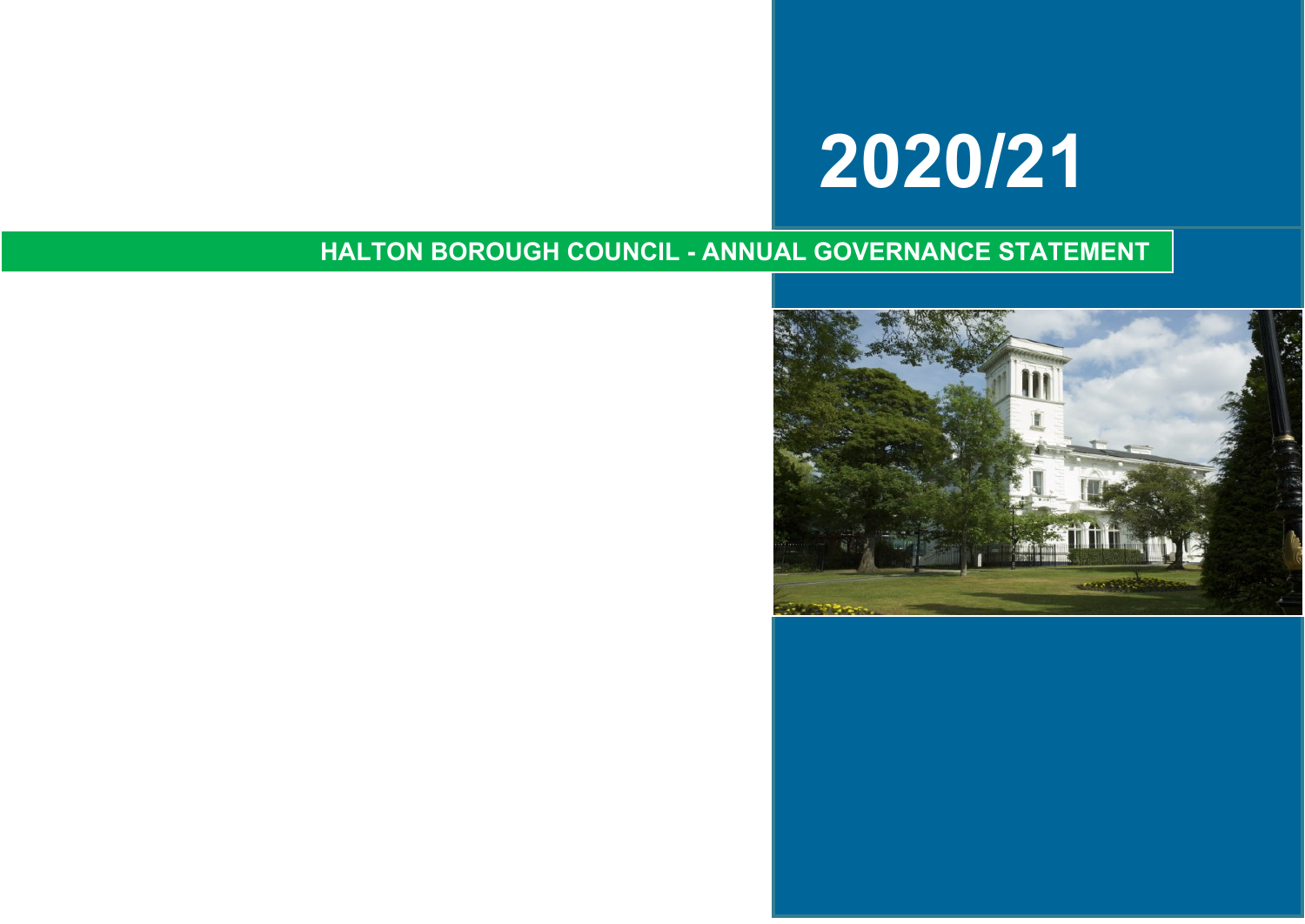# **2020/21**

### **HALTON BOROUGH COUNCIL - ANNUAL GOVERNANCE STATEMENT**

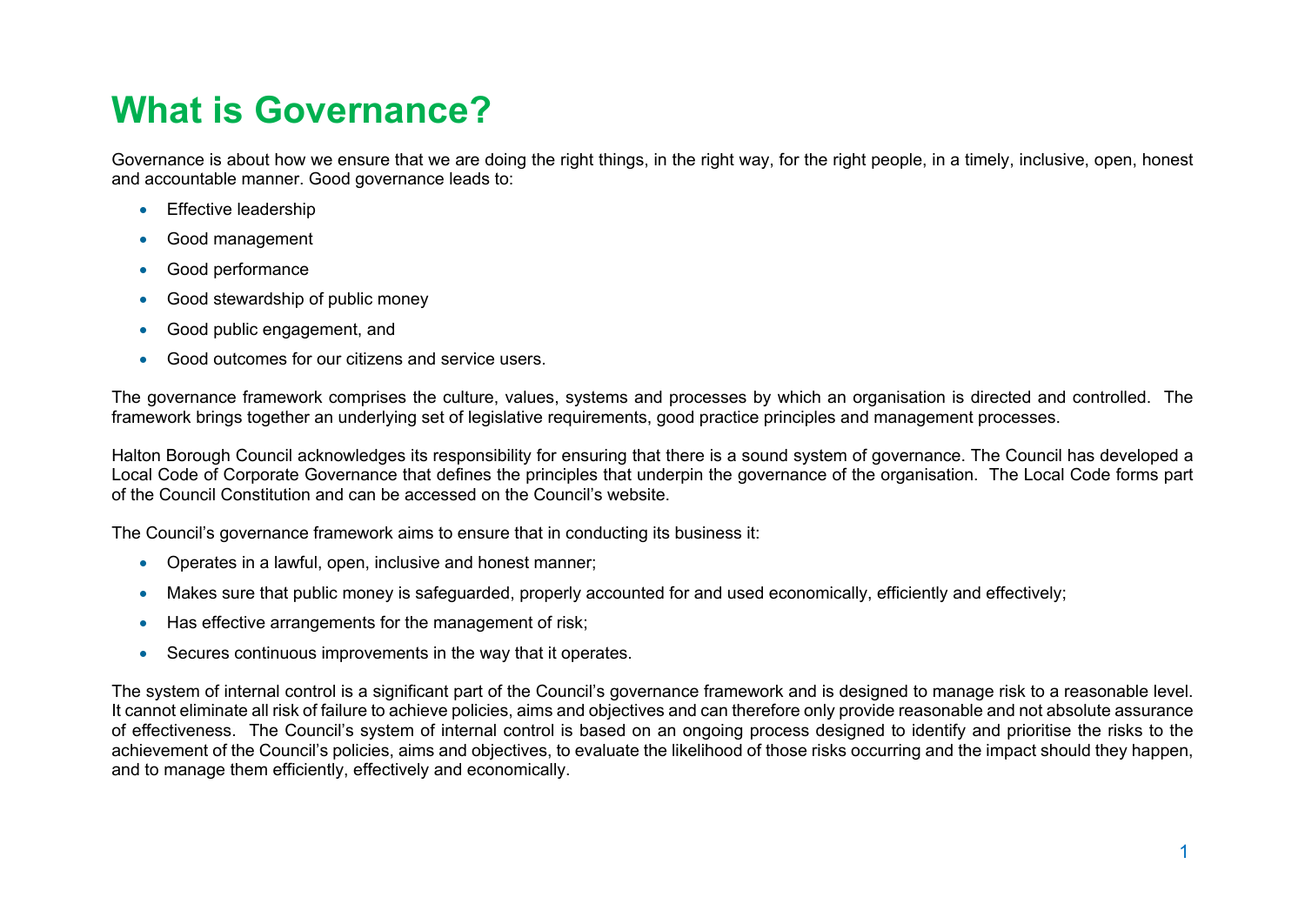## **What is Governance?**

Governance is about how we ensure that we are doing the right things, in the right way, for the right people, in a timely, inclusive, open, honest and accountable manner. Good governance leads to:

- Effective leadership
- Good management
- Good performance
- Good stewardship of public money
- Good public engagement, and
- Good outcomes for our citizens and service users.

The governance framework comprises the culture, values, systems and processes by which an organisation is directed and controlled. The framework brings together an underlying set of legislative requirements, good practice principles and management processes.

Halton Borough Council acknowledges its responsibility for ensuring that there is a sound system of governance. The Council has developed a Local Code of Corporate Governance that defines the principles that underpin the governance of the organisation. The Local Code forms part of the Council Constitution and can be accessed on the Council's website.

The Council's governance framework aims to ensure that in conducting its business it:

- Operates in a lawful, open, inclusive and honest manner;
- Makes sure that public money is safeguarded, properly accounted for and used economically, efficiently and effectively;
- Has effective arrangements for the management of risk;
- Secures continuous improvements in the way that it operates.

The system of internal control is a significant part of the Council's governance framework and is designed to manage risk to a reasonable level. It cannot eliminate all risk of failure to achieve policies, aims and objectives and can therefore only provide reasonable and not absolute assurance of effectiveness. The Council's system of internal control is based on an ongoing process designed to identify and prioritise the risks to the achievement of the Council's policies, aims and objectives, to evaluate the likelihood of those risks occurring and the impact should they happen, and to manage them efficiently, effectively and economically.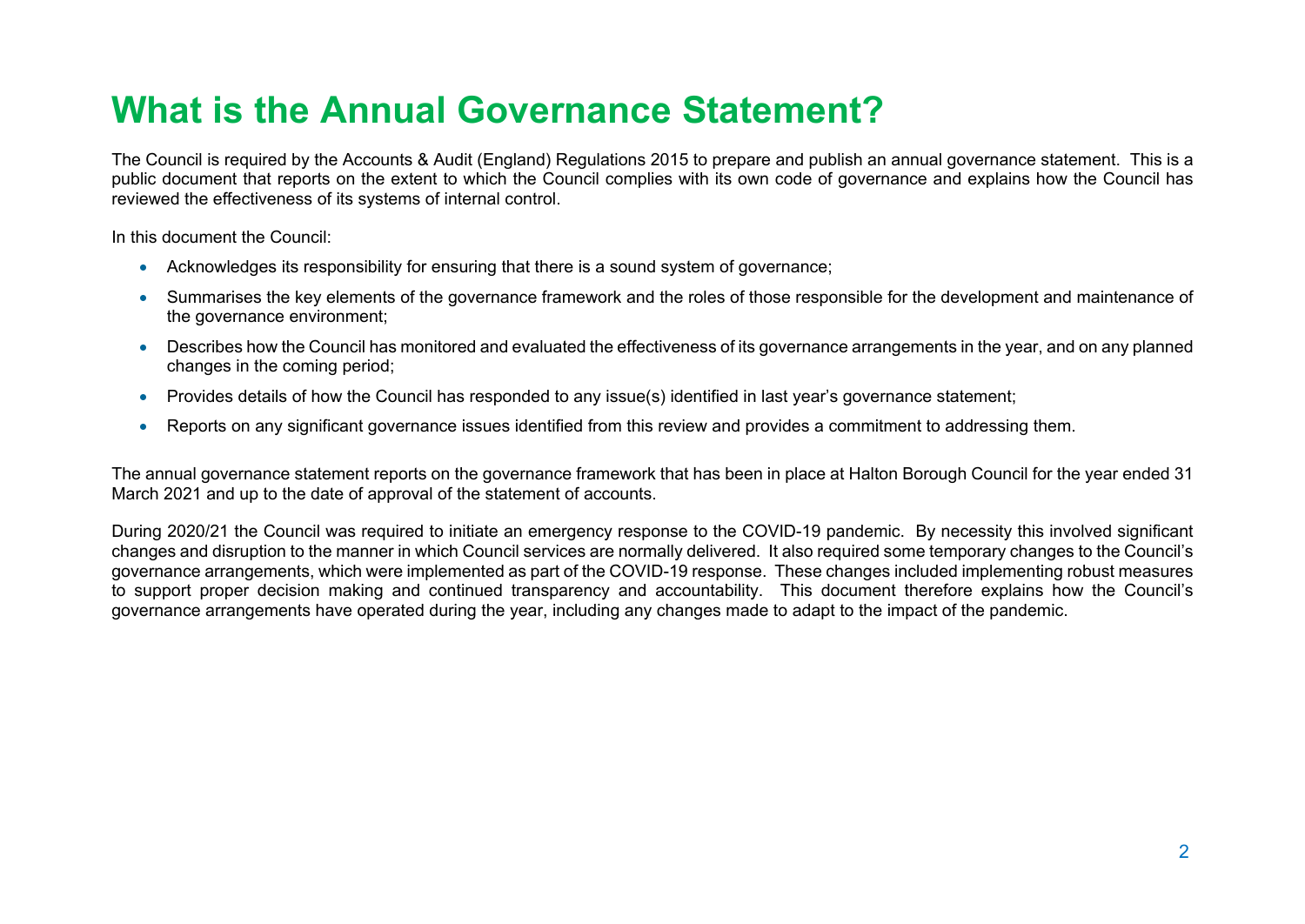## **What is the Annual Governance Statement?**

The Council is required by the Accounts & Audit (England) Regulations 2015 to prepare and publish an annual governance statement. This is a public document that reports on the extent to which the Council complies with its own code of governance and explains how the Council has reviewed the effectiveness of its systems of internal control.

In this document the Council:

- Acknowledges its responsibility for ensuring that there is a sound system of governance;
- Summarises the key elements of the governance framework and the roles of those responsible for the development and maintenance of the governance environment;
- Describes how the Council has monitored and evaluated the effectiveness of its governance arrangements in the year, and on any planned changes in the coming period;
- Provides details of how the Council has responded to any issue(s) identified in last year's governance statement;
- Reports on any significant governance issues identified from this review and provides a commitment to addressing them.

The annual governance statement reports on the governance framework that has been in place at Halton Borough Council for the year ended 31 March 2021 and up to the date of approval of the statement of accounts.

During 2020/21 the Council was required to initiate an emergency response to the COVID-19 pandemic. By necessity this involved significant changes and disruption to the manner in which Council services are normally delivered. It also required some temporary changes to the Council's governance arrangements, which were implemented as part of the COVID-19 response. These changes included implementing robust measures to support proper decision making and continued transparency and accountability. This document therefore explains how the Council's governance arrangements have operated during the year, including any changes made to adapt to the impact of the pandemic.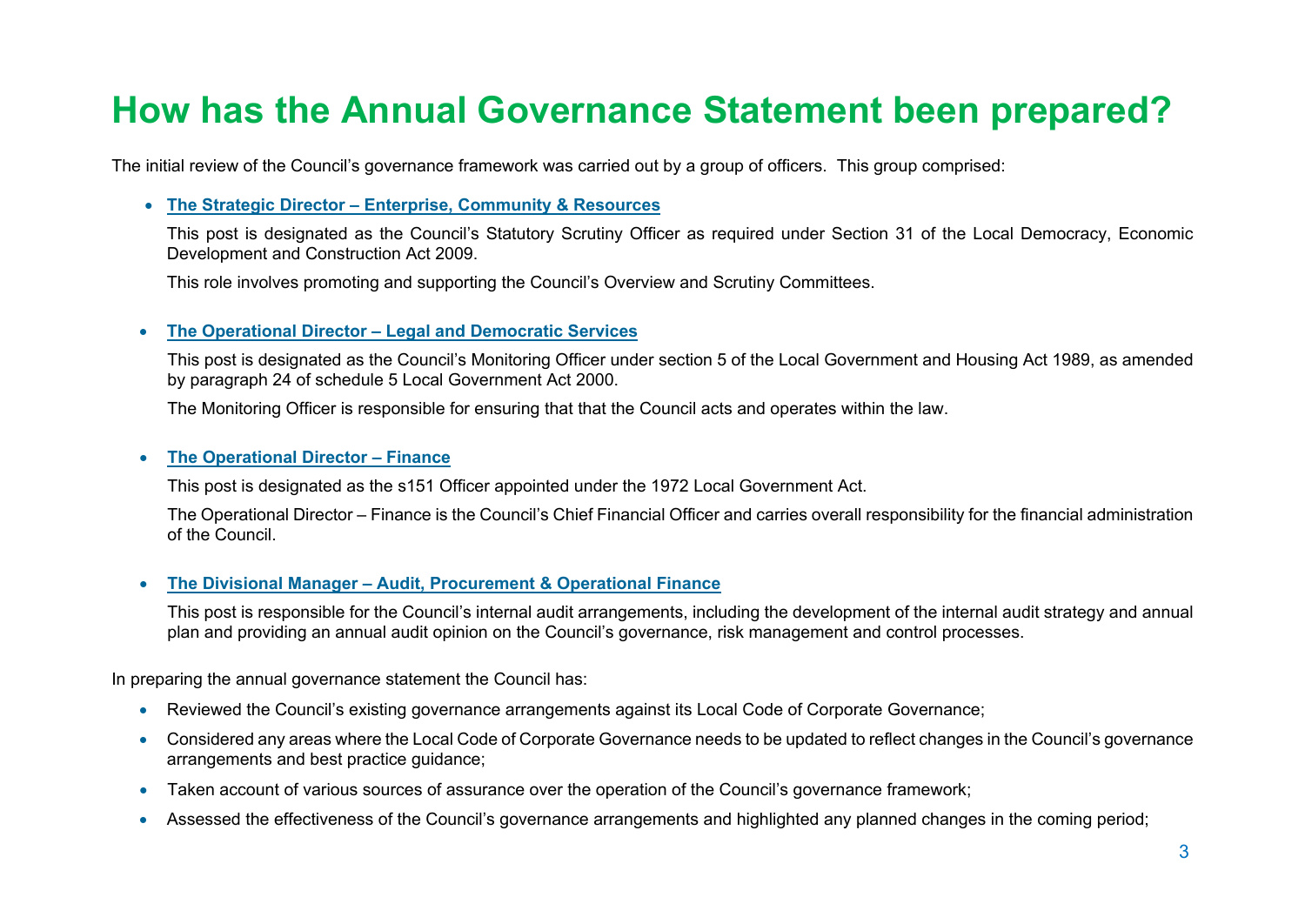### **How has the Annual Governance Statement been prepared?**

The initial review of the Council's governance framework was carried out by a group of officers. This group comprised:

#### **The Strategic Director – Enterprise, Community & Resources**

This post is designated as the Council's Statutory Scrutiny Officer as required under Section 31 of the Local Democracy, Economic Development and Construction Act 2009.

This role involves promoting and supporting the Council's Overview and Scrutiny Committees.

#### **The Operational Director – Legal and Democratic Services**

This post is designated as the Council's Monitoring Officer under section 5 of the Local Government and Housing Act 1989, as amended by paragraph 24 of schedule 5 Local Government Act 2000.

The Monitoring Officer is responsible for ensuring that that the Council acts and operates within the law.

#### **The Operational Director – Finance**

This post is designated as the s151 Officer appointed under the 1972 Local Government Act.

The Operational Director – Finance is the Council's Chief Financial Officer and carries overall responsibility for the financial administration of the Council.

#### **The Divisional Manager – Audit, Procurement & Operational Finance**

This post is responsible for the Council's internal audit arrangements, including the development of the internal audit strategy and annual plan and providing an annual audit opinion on the Council's governance, risk management and control processes.

In preparing the annual governance statement the Council has:

- Reviewed the Council's existing governance arrangements against its Local Code of Corporate Governance;
- Considered any areas where the Local Code of Corporate Governance needs to be updated to reflect changes in the Council's governance arrangements and best practice guidance;
- Taken account of various sources of assurance over the operation of the Council's governance framework;
- Assessed the effectiveness of the Council's governance arrangements and highlighted any planned changes in the coming period;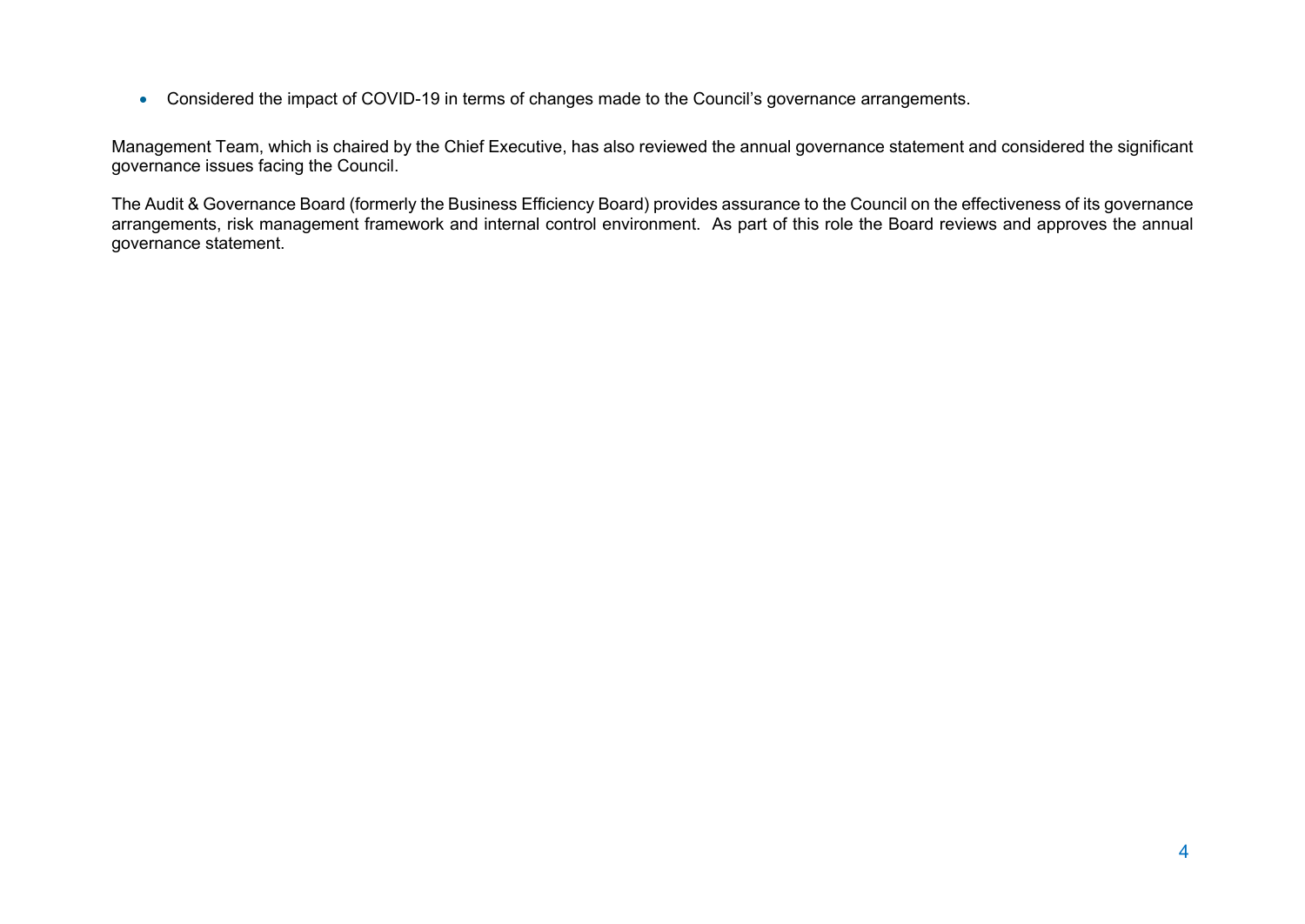Considered the impact of COVID-19 in terms of changes made to the Council's governance arrangements.

Management Team, which is chaired by the Chief Executive, has also reviewed the annual governance statement and considered the significant governance issues facing the Council.

The Audit & Governance Board (formerly the Business Efficiency Board) provides assurance to the Council on the effectiveness of its governance arrangements, risk management framework and internal control environment. As part of this role the Board reviews and approves the annual governance statement.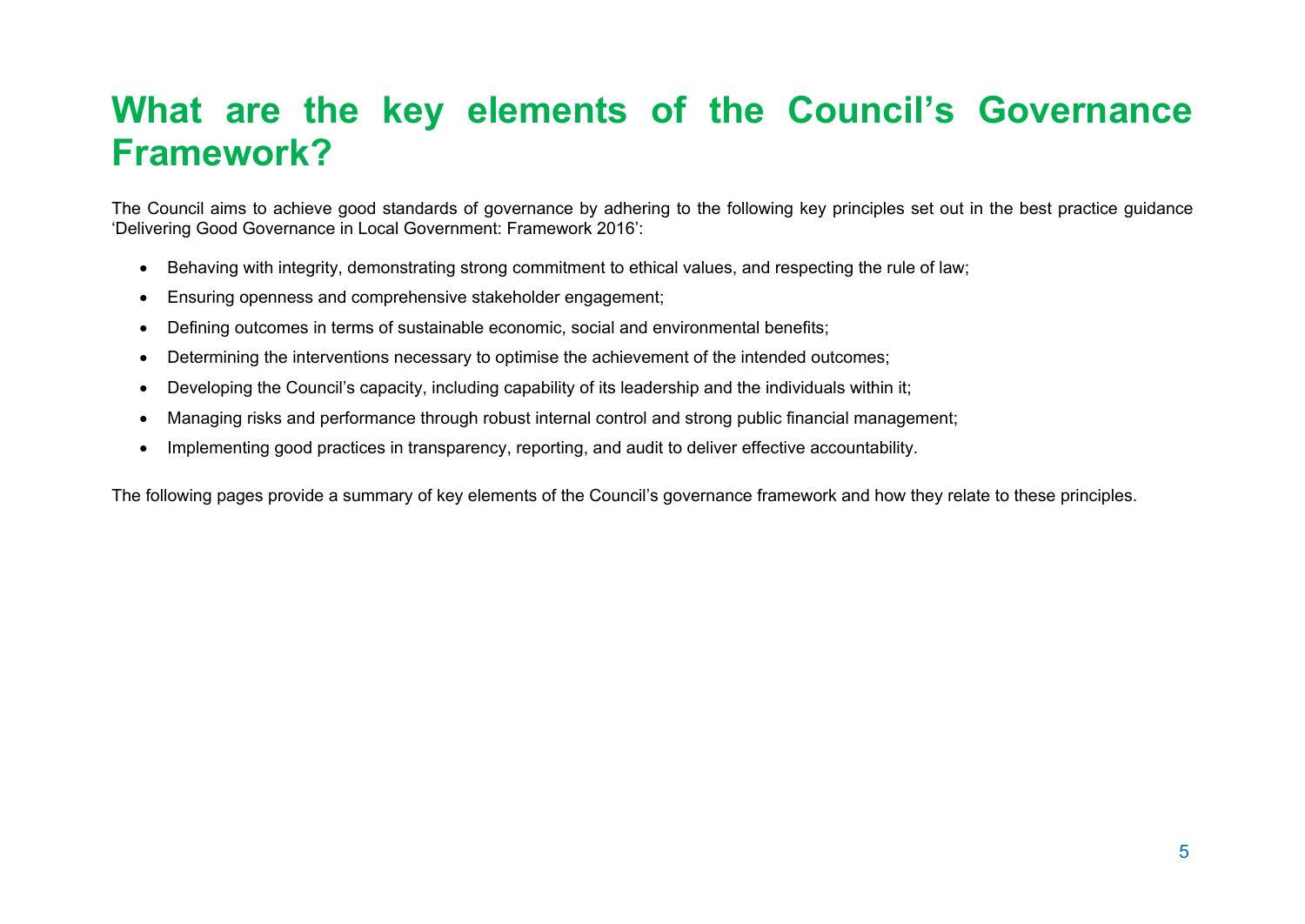### **What are the key elements of the Council's Governance Framework?**

The Council aims to achieve good standards of governance by adhering to the following key principles set out in the best practice guidance 'Delivering Good Governance in Local Government: Framework 2016':

- Behaving with integrity, demonstrating strong commitment to ethical values, and respecting the rule of law;
- Ensuring openness and comprehensive stakeholder engagement;
- Defining outcomes in terms of sustainable economic, social and environmental benefits;
- Determining the interventions necessary to optimise the achievement of the intended outcomes;
- Developing the Council's capacity, including capability of its leadership and the individuals within it;
- Managing risks and performance through robust internal control and strong public financial management;
- Implementing good practices in transparency, reporting, and audit to deliver effective accountability.

The following pages provide a summary of key elements of the Council's governance framework and how they relate to these principles.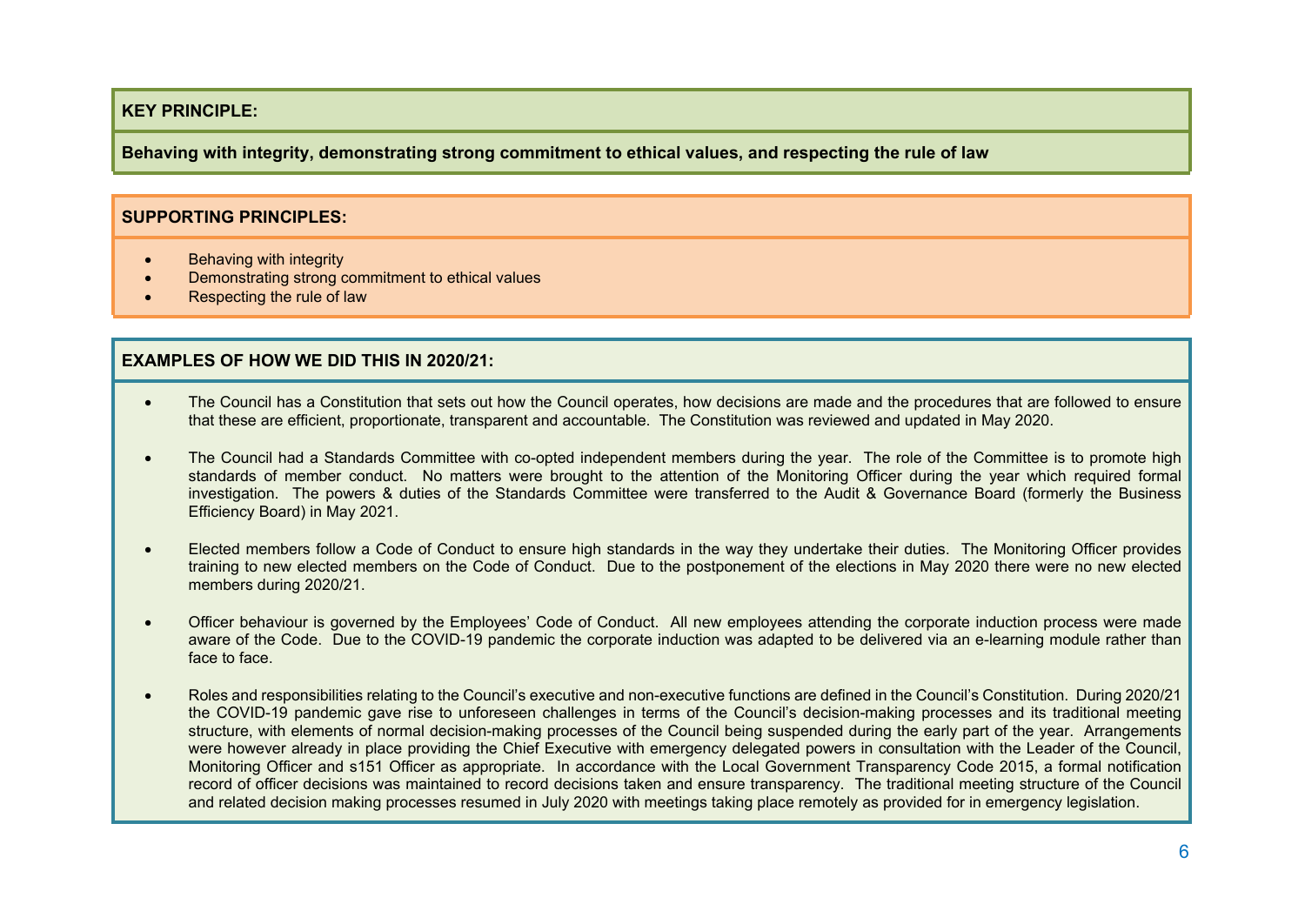**Behaving with integrity, demonstrating strong commitment to ethical values, and respecting the rule of law**

#### **SUPPORTING PRINCIPLES:**

- Behaving with integrity
- Demonstrating strong commitment to ethical values
- Respecting the rule of law

- The Council has a Constitution that sets out how the Council operates, how decisions are made and the procedures that are followed to ensure that these are efficient, proportionate, transparent and accountable. The Constitution was reviewed and updated in May 2020.
- The Council had a Standards Committee with co-opted independent members during the year. The role of the Committee is to promote high standards of member conduct. No matters were brought to the attention of the Monitoring Officer during the year which required formal investigation. The powers & duties of the Standards Committee were transferred to the Audit & Governance Board (formerly the Business Efficiency Board) in May 2021.
- Elected members follow a Code of Conduct to ensure high standards in the way they undertake their duties. The Monitoring Officer provides training to new elected members on the Code of Conduct. Due to the postponement of the elections in May 2020 there were no new elected members during 2020/21.
- Officer behaviour is governed by the Employees' Code of Conduct. All new employees attending the corporate induction process were made aware of the Code. Due to the COVID-19 pandemic the corporate induction was adapted to be delivered via an e-learning module rather than face to face.
- Roles and responsibilities relating to the Council's executive and non-executive functions are defined in the Council's Constitution. During 2020/21 the COVID-19 pandemic gave rise to unforeseen challenges in terms of the Council's decision-making processes and its traditional meeting structure, with elements of normal decision-making processes of the Council being suspended during the early part of the year. Arrangements were however already in place providing the Chief Executive with emergency delegated powers in consultation with the Leader of the Council, Monitoring Officer and s151 Officer as appropriate. In accordance with the Local Government Transparency Code 2015, a formal notification record of officer decisions was maintained to record decisions taken and ensure transparency. The traditional meeting structure of the Council and related decision making processes resumed in July 2020 with meetings taking place remotely as provided for in emergency legislation.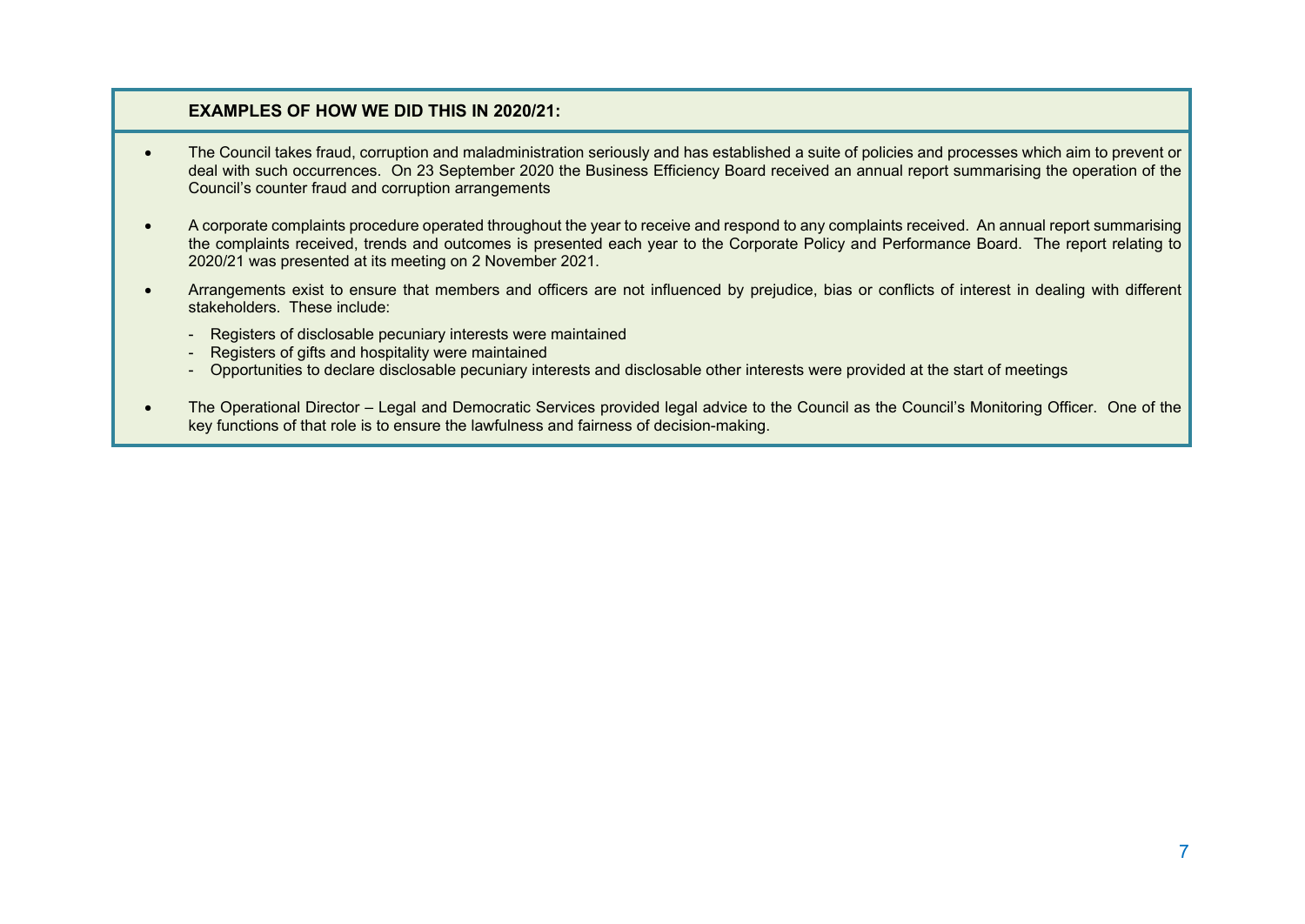- The Council takes fraud, corruption and maladministration seriously and has established a suite of policies and processes which aim to prevent or deal with such occurrences. On 23 September 2020 the Business Efficiency Board received an annual report summarising the operation of the Council's counter fraud and corruption arrangements
- A corporate complaints procedure operated throughout the year to receive and respond to any complaints received. An annual report summarising the complaints received, trends and outcomes is presented each year to the Corporate Policy and Performance Board. The report relating to 2020/21 was presented at its meeting on 2 November 2021.
- Arrangements exist to ensure that members and officers are not influenced by prejudice, bias or conflicts of interest in dealing with different stakeholders. These include:
	- Registers of disclosable pecuniary interests were maintained
	- Registers of gifts and hospitality were maintained
	- Opportunities to declare disclosable pecuniary interests and disclosable other interests were provided at the start of meetings
- The Operational Director Legal and Democratic Services provided legal advice to the Council as the Council's Monitoring Officer. One of the key functions of that role is to ensure the lawfulness and fairness of decision-making.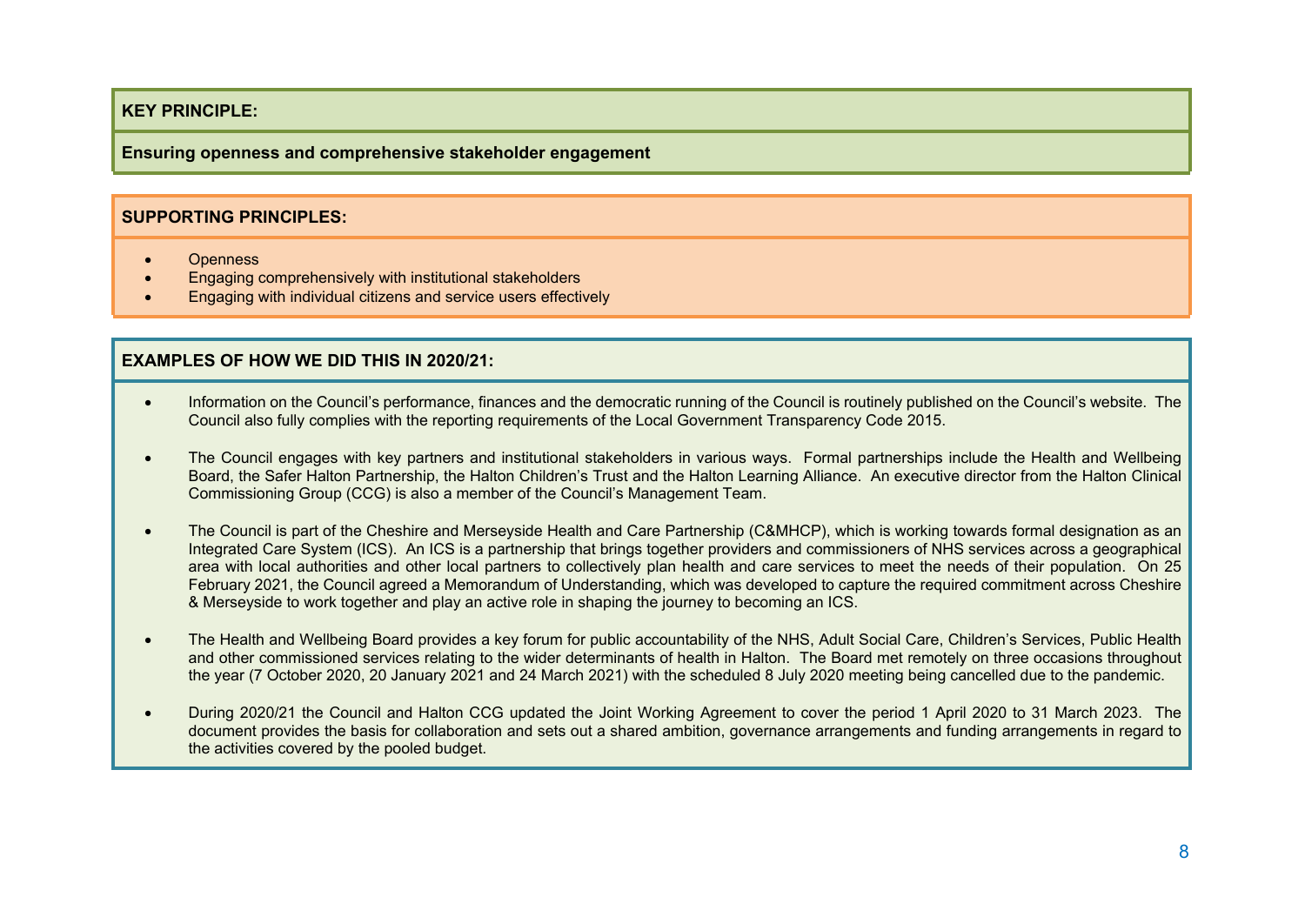#### **Ensuring openness and comprehensive stakeholder engagement**

#### **SUPPORTING PRINCIPLES:**

- Openness
- **Engaging comprehensively with institutional stakeholders**
- Engaging with individual citizens and service users effectively

- Information on the Council's performance, finances and the democratic running of the Council is routinely published on the Council's website. The Council also fully complies with the reporting requirements of the Local Government Transparency Code 2015.
- The Council engages with key partners and institutional stakeholders in various ways. Formal partnerships include the Health and Wellbeing Board, the Safer Halton Partnership, the Halton Children's Trust and the Halton Learning Alliance. An executive director from the Halton Clinical Commissioning Group (CCG) is also a member of the Council's Management Team.
- The Council is part of the Cheshire and Merseyside Health and Care Partnership (C&MHCP), which is working towards formal designation as an Integrated Care System (ICS). An ICS is a partnership that brings together providers and commissioners of NHS services across a geographical area with local authorities and other local partners to collectively plan health and care services to meet the needs of their population. On 25 February 2021, the Council agreed a Memorandum of Understanding, which was developed to capture the required commitment across Cheshire & Merseyside to work together and play an active role in shaping the journey to becoming an ICS.
- The Health and Wellbeing Board provides a key forum for public accountability of the NHS, Adult Social Care, Children's Services, Public Health and other commissioned services relating to the wider determinants of health in Halton. The Board met remotely on three occasions throughout the year (7 October 2020, 20 January 2021 and 24 March 2021) with the scheduled 8 July 2020 meeting being cancelled due to the pandemic.
- During 2020/21 the Council and Halton CCG updated the Joint Working Agreement to cover the period 1 April 2020 to 31 March 2023. The document provides the basis for collaboration and sets out a shared ambition, governance arrangements and funding arrangements in regard to the activities covered by the pooled budget.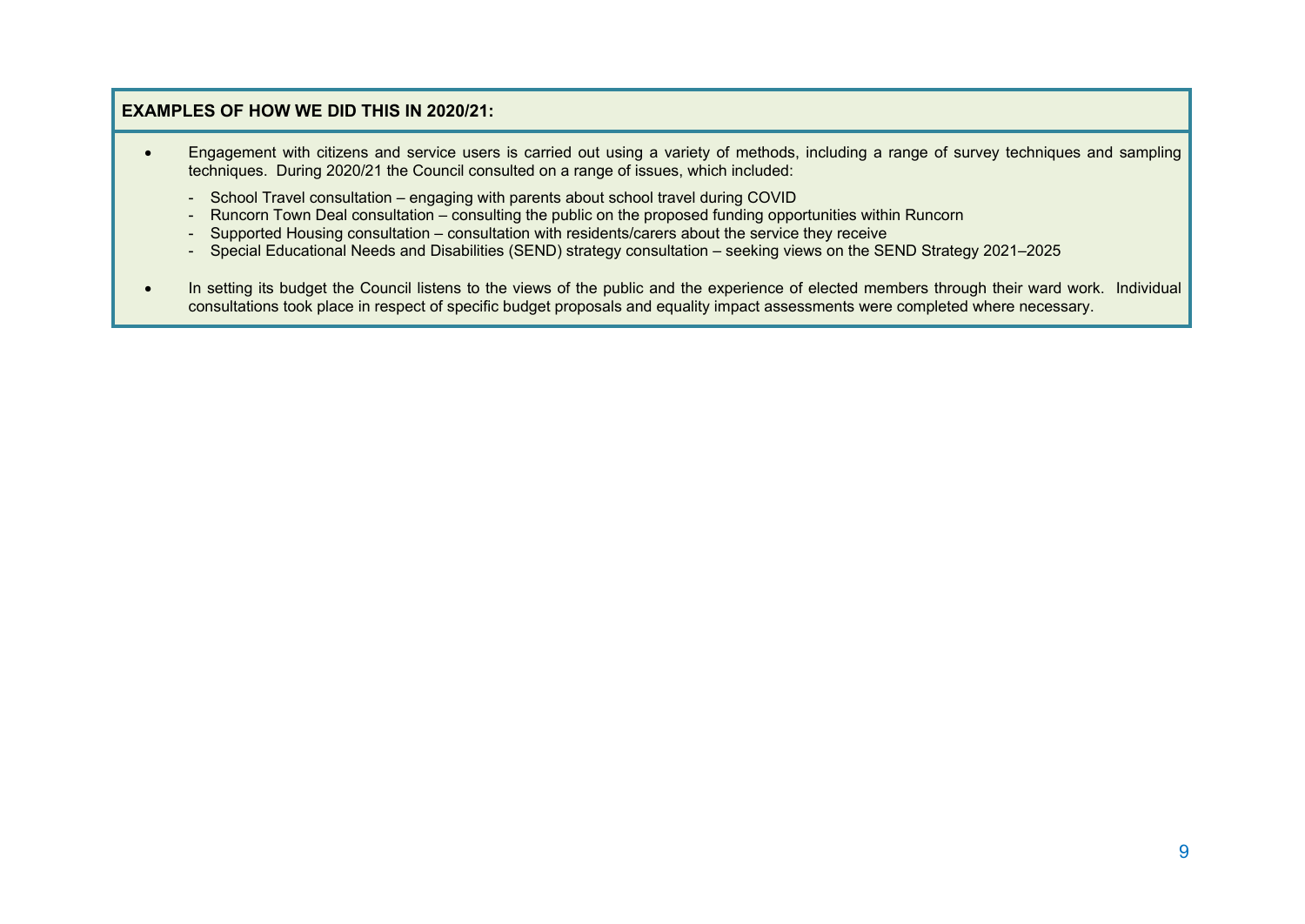- Engagement with citizens and service users is carried out using a variety of methods, including a range of survey techniques and sampling techniques. During 2020/21 the Council consulted on a range of issues, which included:
	- School Travel consultation engaging with parents about school travel during COVID
	- Runcorn Town Deal consultation consulting the public on the proposed funding opportunities within Runcorn
	- Supported Housing consultation consultation with residents/carers about the service they receive
	- Special Educational Needs and Disabilities (SEND) strategy consultation seeking views on the SEND Strategy 2021–2025
- In setting its budget the Council listens to the views of the public and the experience of elected members through their ward work. Individual consultations took place in respect of specific budget proposals and equality impact assessments were completed where necessary.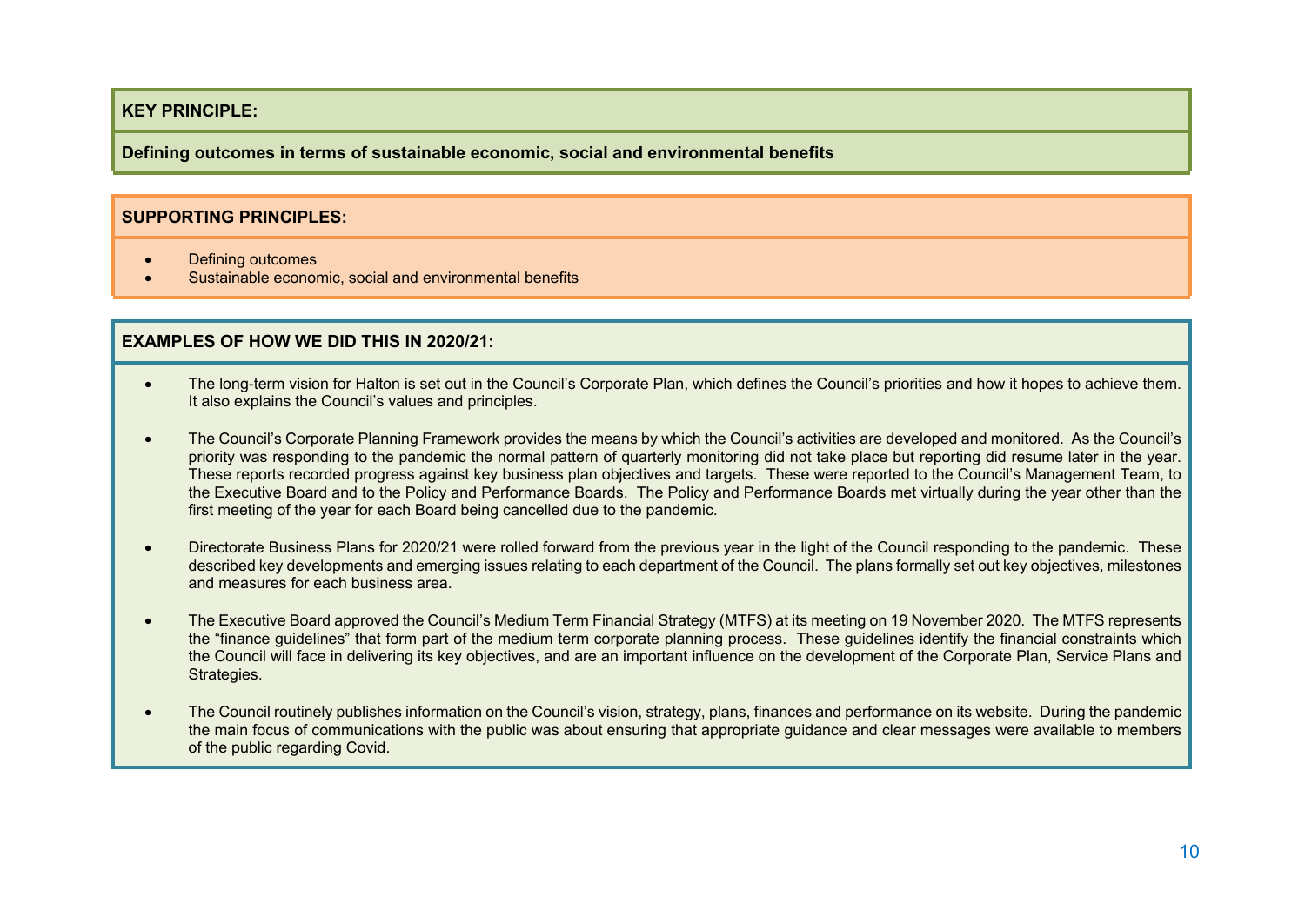**Defining outcomes in terms of sustainable economic, social and environmental benefits**

#### **SUPPORTING PRINCIPLES:**

- Defining outcomes
- Sustainable economic, social and environmental benefits

- The long-term vision for Halton is set out in the Council's Corporate Plan, which defines the Council's priorities and how it hopes to achieve them. It also explains the Council's values and principles.
- The Council's Corporate Planning Framework provides the means by which the Council's activities are developed and monitored. As the Council's priority was responding to the pandemic the normal pattern of quarterly monitoring did not take place but reporting did resume later in the year. These reports recorded progress against key business plan objectives and targets. These were reported to the Council's Management Team, to the Executive Board and to the Policy and Performance Boards. The Policy and Performance Boards met virtually during the year other than the first meeting of the year for each Board being cancelled due to the pandemic.
- Directorate Business Plans for 2020/21 were rolled forward from the previous year in the light of the Council responding to the pandemic. These described key developments and emerging issues relating to each department of the Council. The plans formally set out key objectives, milestones and measures for each business area.
- The Executive Board approved the Council's Medium Term Financial Strategy (MTFS) at its meeting on 19 November 2020. The MTFS represents the "finance guidelines" that form part of the medium term corporate planning process. These guidelines identify the financial constraints which the Council will face in delivering its key objectives, and are an important influence on the development of the Corporate Plan, Service Plans and Strategies.
- The Council routinely publishes information on the Council's vision, strategy, plans, finances and performance on its website. During the pandemic the main focus of communications with the public was about ensuring that appropriate guidance and clear messages were available to members of the public regarding Covid.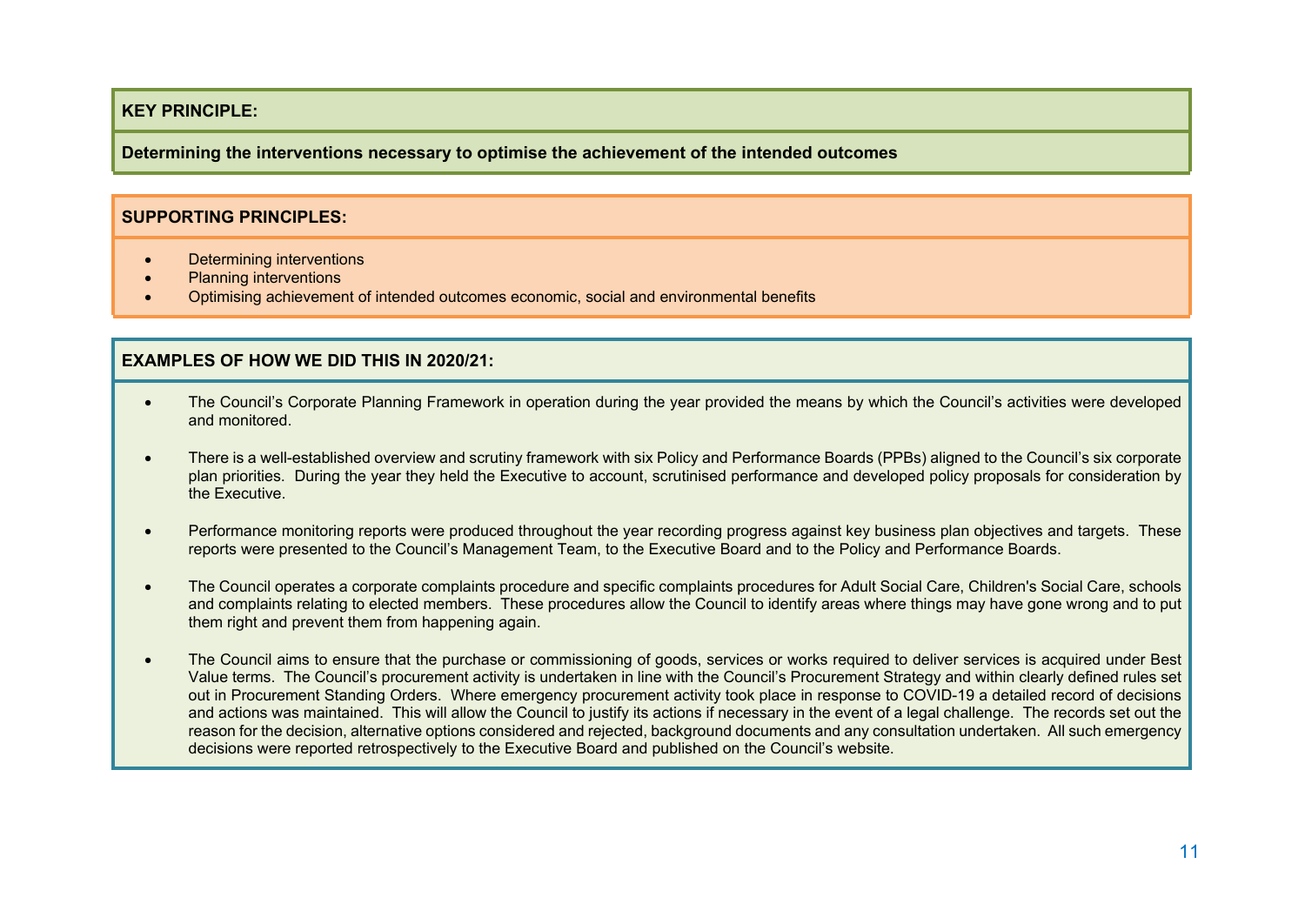**Determining the interventions necessary to optimise the achievement of the intended outcomes**

#### **SUPPORTING PRINCIPLES:**

- Determining interventions
- Planning interventions
- Optimising achievement of intended outcomes economic, social and environmental benefits

- The Council's Corporate Planning Framework in operation during the year provided the means by which the Council's activities were developed and monitored.
- There is a well-established overview and scrutiny framework with six Policy and Performance Boards (PPBs) aligned to the Council's six corporate plan priorities. During the year they held the Executive to account, scrutinised performance and developed policy proposals for consideration by the Executive.
- Performance monitoring reports were produced throughout the year recording progress against key business plan objectives and targets. These reports were presented to the Council's Management Team, to the Executive Board and to the Policy and Performance Boards.
- The Council operates a corporate complaints procedure and specific complaints procedures for Adult Social Care, Children's Social Care, schools and complaints relating to elected members. These procedures allow the Council to identify areas where things may have gone wrong and to put them right and prevent them from happening again.
- The Council aims to ensure that the purchase or commissioning of goods, services or works required to deliver services is acquired under Best Value terms. The Council's procurement activity is undertaken in line with the Council's Procurement Strategy and within clearly defined rules set out in Procurement Standing Orders. Where emergency procurement activity took place in response to COVID-19 a detailed record of decisions and actions was maintained. This will allow the Council to justify its actions if necessary in the event of a legal challenge. The records set out the reason for the decision, alternative options considered and rejected, background documents and any consultation undertaken. All such emergency decisions were reported retrospectively to the Executive Board and published on the Council's website.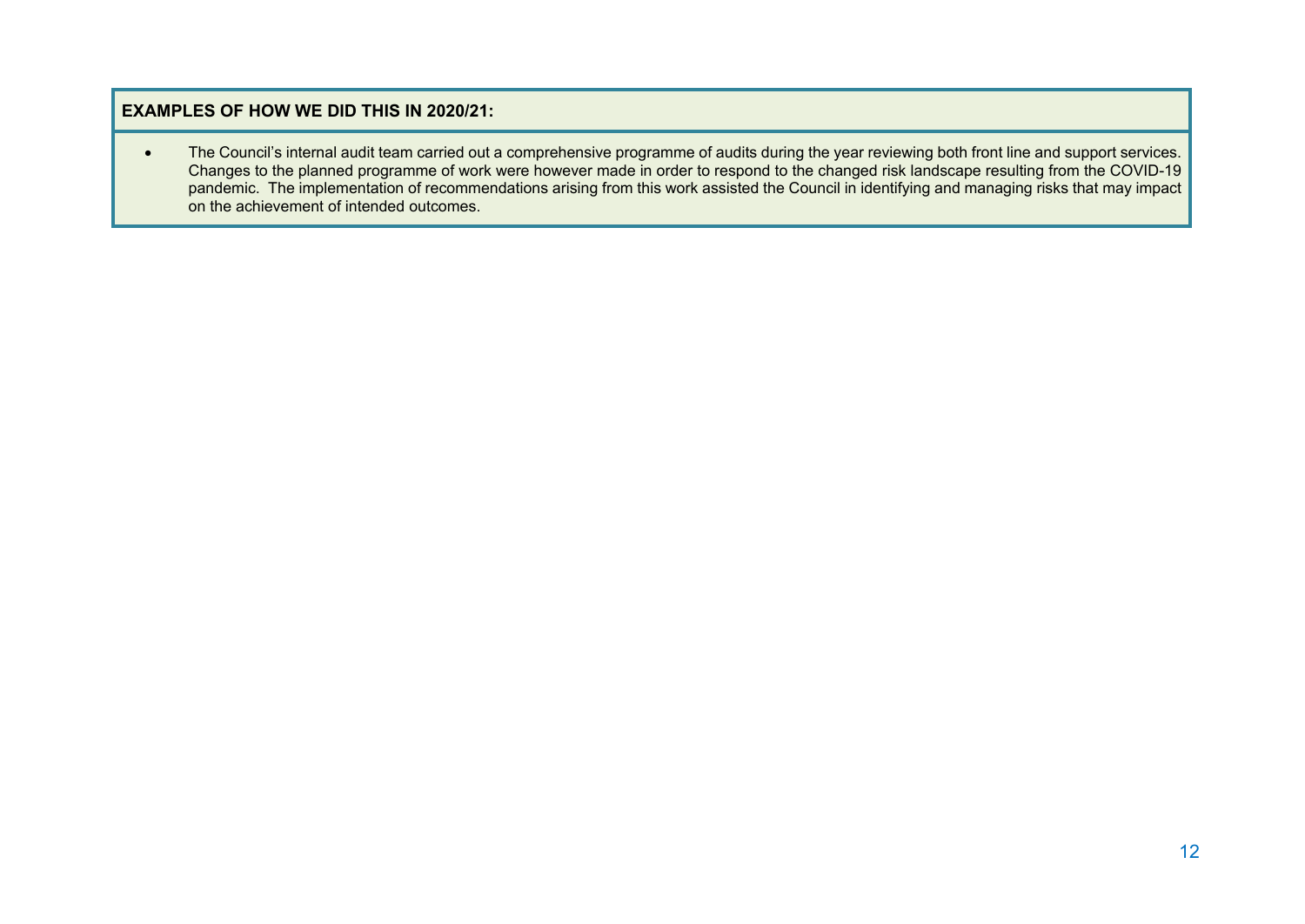The Council's internal audit team carried out a comprehensive programme of audits during the year reviewing both front line and support services. Changes to the planned programme of work were however made in order to respond to the changed risk landscape resulting from the COVID-19 pandemic. The implementation of recommendations arising from this work assisted the Council in identifying and managing risks that may impact on the achievement of intended outcomes.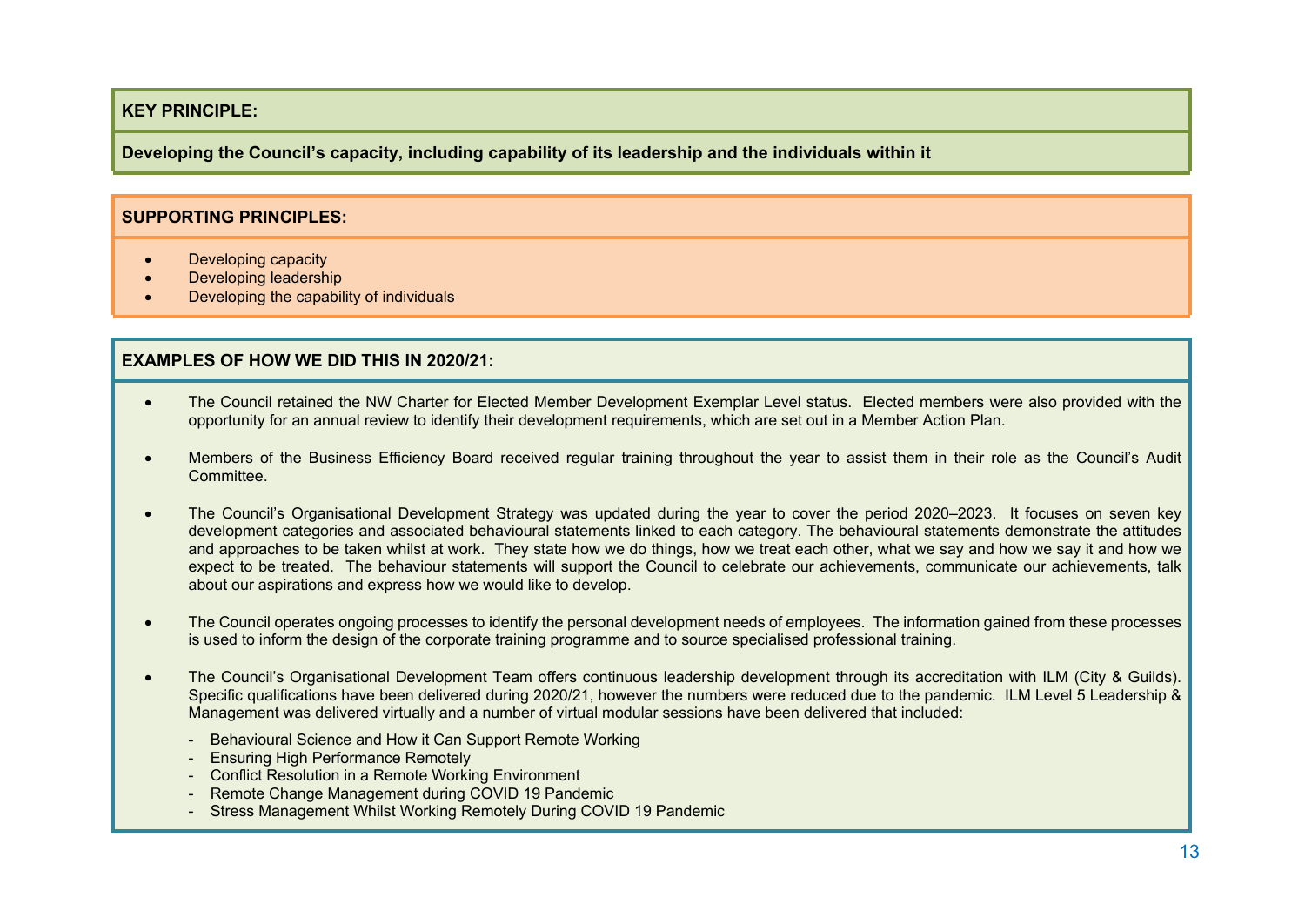**Developing the Council's capacity, including capability of its leadership and the individuals within it**

#### **SUPPORTING PRINCIPLES:**

- Developing capacity
- Developing leadership
- Developing the capability of individuals

- The Council retained the NW Charter for Elected Member Development Exemplar Level status. Elected members were also provided with the opportunity for an annual review to identify their development requirements, which are set out in a Member Action Plan.
- Members of the Business Efficiency Board received regular training throughout the year to assist them in their role as the Council's Audit **Committee.**
- The Council's Organisational Development Strategy was updated during the year to cover the period 2020–2023. It focuses on seven key development categories and associated behavioural statements linked to each category. The behavioural statements demonstrate the attitudes and approaches to be taken whilst at work. They state how we do things, how we treat each other, what we say and how we say it and how we expect to be treated. The behaviour statements will support the Council to celebrate our achievements, communicate our achievements, talk about our aspirations and express how we would like to develop.
- The Council operates ongoing processes to identify the personal development needs of employees. The information gained from these processes is used to inform the design of the corporate training programme and to source specialised professional training.
- The Council's Organisational Development Team offers continuous leadership development through its accreditation with ILM (City & Guilds). Specific qualifications have been delivered during 2020/21, however the numbers were reduced due to the pandemic. ILM Level 5 Leadership & Management was delivered virtually and a number of virtual modular sessions have been delivered that included:
	- Behavioural Science and How it Can Support Remote Working
	- Ensuring High Performance Remotely
	- Conflict Resolution in a Remote Working Environment
	- Remote Change Management during COVID 19 Pandemic
	- Stress Management Whilst Working Remotely During COVID 19 Pandemic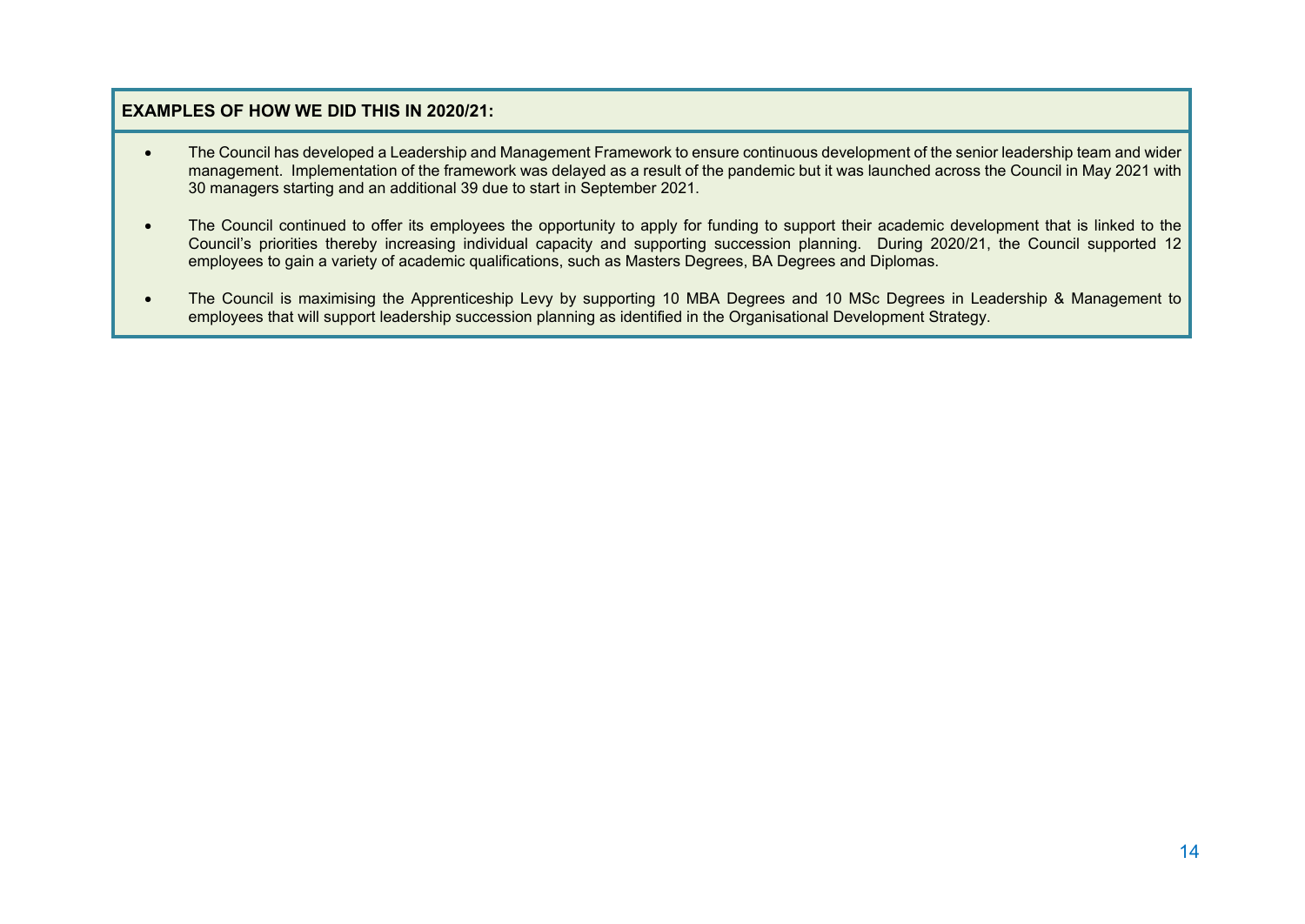- The Council has developed a Leadership and Management Framework to ensure continuous development of the senior leadership team and wider management. Implementation of the framework was delayed as a result of the pandemic but it was launched across the Council in May 2021 with 30 managers starting and an additional 39 due to start in September 2021.
- The Council continued to offer its employees the opportunity to apply for funding to support their academic development that is linked to the Council's priorities thereby increasing individual capacity and supporting succession planning. During 2020/21, the Council supported 12 employees to gain a variety of academic qualifications, such as Masters Degrees, BA Degrees and Diplomas.
- The Council is maximising the Apprenticeship Levy by supporting 10 MBA Degrees and 10 MSc Degrees in Leadership & Management to employees that will support leadership succession planning as identified in the Organisational Development Strategy.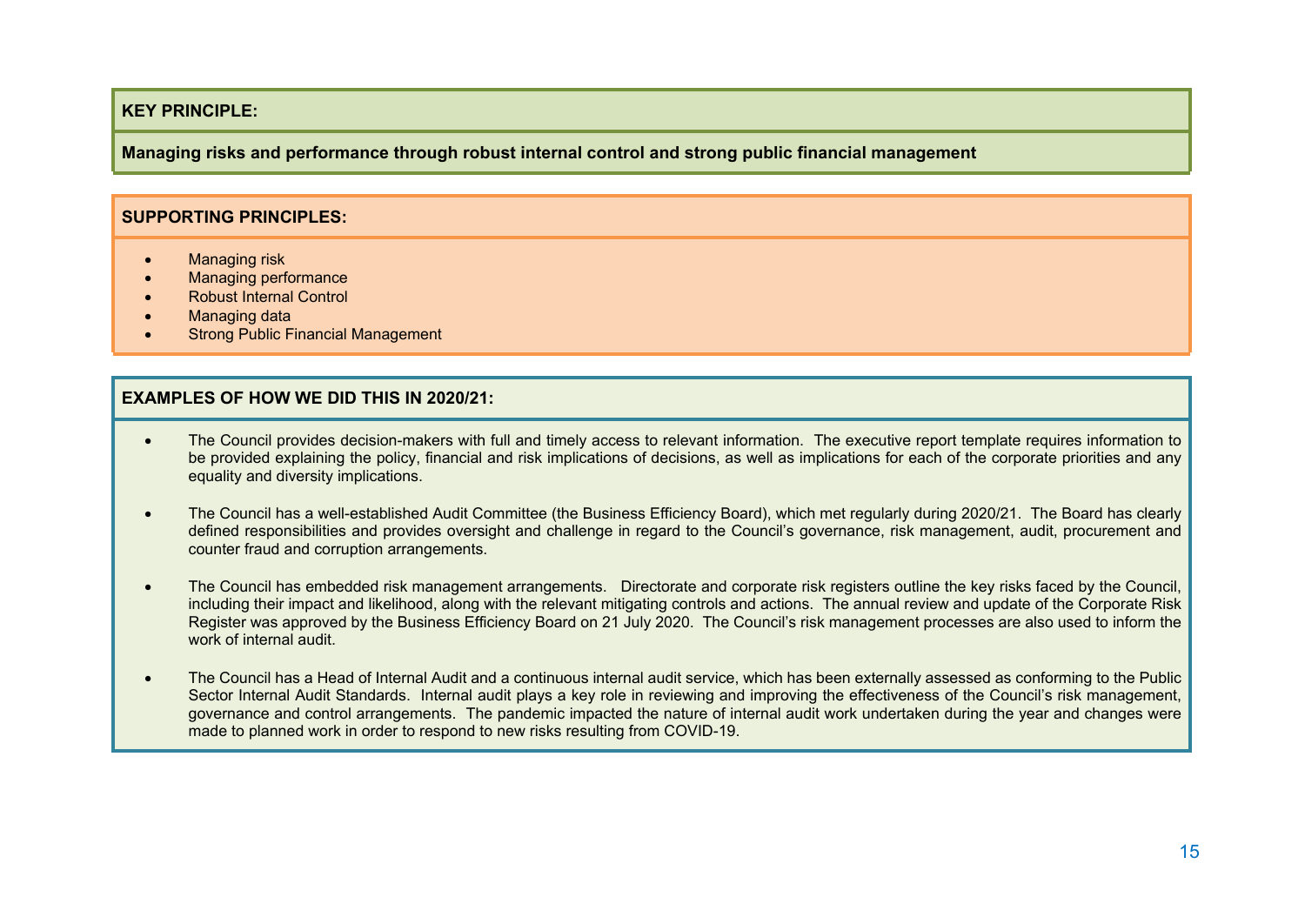**Managing risks and performance through robust internal control and strong public financial management**

#### **SUPPORTING PRINCIPLES:**

- Managing risk
- Managing performance
- Robust Internal Control
- Managing data
- Strong Public Financial Management

- The Council provides decision-makers with full and timely access to relevant information. The executive report template requires information to be provided explaining the policy, financial and risk implications of decisions, as well as implications for each of the corporate priorities and any equality and diversity implications.
- The Council has a well-established Audit Committee (the Business Efficiency Board), which met regularly during 2020/21. The Board has clearly defined responsibilities and provides oversight and challenge in regard to the Council's governance, risk management, audit, procurement and counter fraud and corruption arrangements.
- The Council has embedded risk management arrangements. Directorate and corporate risk registers outline the key risks faced by the Council, including their impact and likelihood, along with the relevant mitigating controls and actions. The annual review and update of the Corporate Risk Register was approved by the Business Efficiency Board on 21 July 2020. The Council's risk management processes are also used to inform the work of internal audit.
- The Council has a Head of Internal Audit and a continuous internal audit service, which has been externally assessed as conforming to the Public Sector Internal Audit Standards. Internal audit plays a key role in reviewing and improving the effectiveness of the Council's risk management, governance and control arrangements. The pandemic impacted the nature of internal audit work undertaken during the year and changes were made to planned work in order to respond to new risks resulting from COVID-19.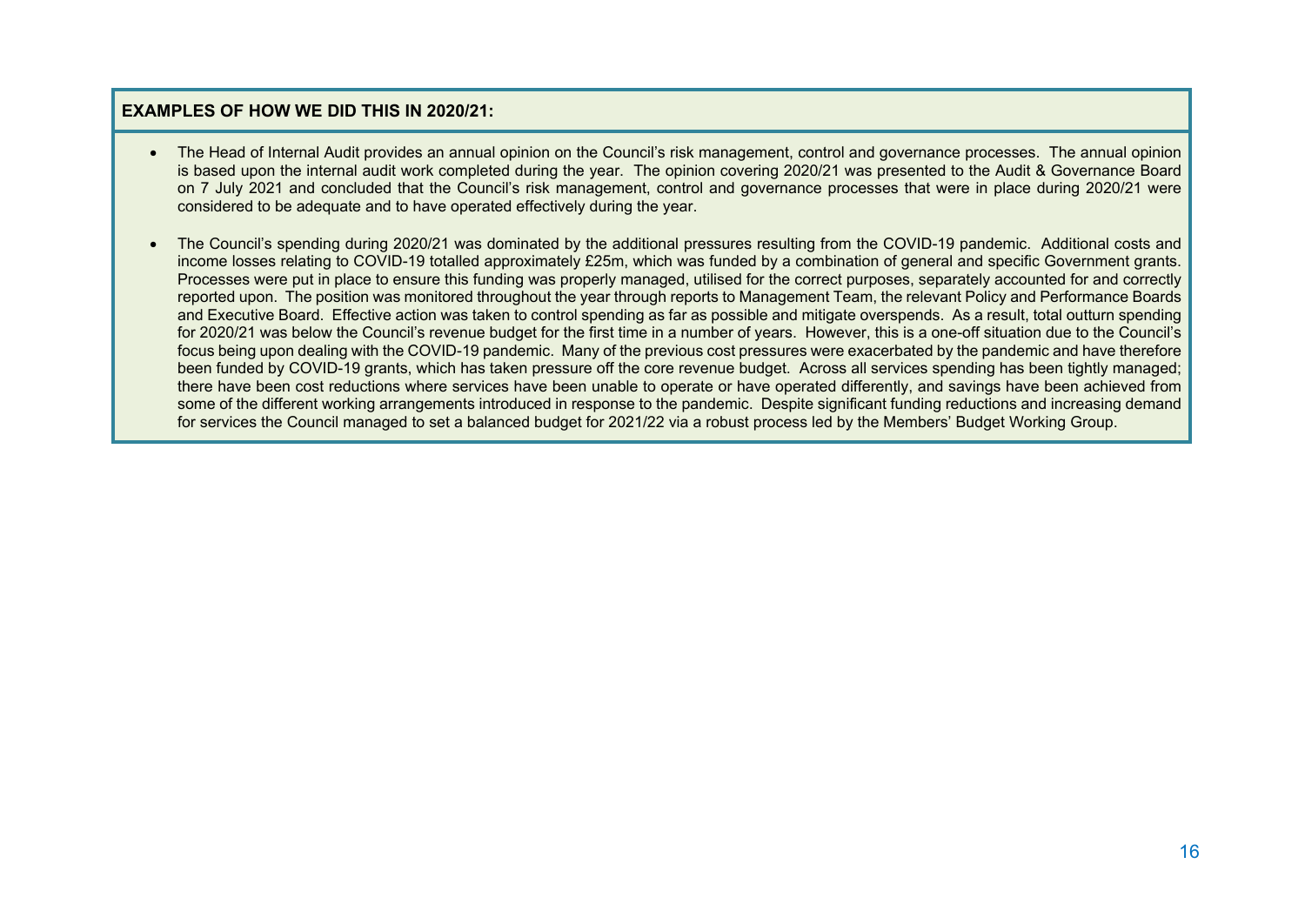- The Head of Internal Audit provides an annual opinion on the Council's risk management, control and governance processes. The annual opinion is based upon the internal audit work completed during the year. The opinion covering 2020/21 was presented to the Audit & Governance Board on 7 July 2021 and concluded that the Council's risk management, control and governance processes that were in place during 2020/21 were considered to be adequate and to have operated effectively during the year.
- The Council's spending during 2020/21 was dominated by the additional pressures resulting from the COVID-19 pandemic. Additional costs and income losses relating to COVID-19 totalled approximately £25m, which was funded by a combination of general and specific Government grants. Processes were put in place to ensure this funding was properly managed, utilised for the correct purposes, separately accounted for and correctly reported upon. The position was monitored throughout the year through reports to Management Team, the relevant Policy and Performance Boards and Executive Board. Effective action was taken to control spending as far as possible and mitigate overspends. As a result, total outturn spending for 2020/21 was below the Council's revenue budget for the first time in a number of years. However, this is a one-off situation due to the Council's focus being upon dealing with the COVID-19 pandemic. Many of the previous cost pressures were exacerbated by the pandemic and have therefore been funded by COVID-19 grants, which has taken pressure off the core revenue budget. Across all services spending has been tightly managed; there have been cost reductions where services have been unable to operate or have operated differently, and savings have been achieved from some of the different working arrangements introduced in response to the pandemic. Despite significant funding reductions and increasing demand for services the Council managed to set a balanced budget for 2021/22 via a robust process led by the Members' Budget Working Group.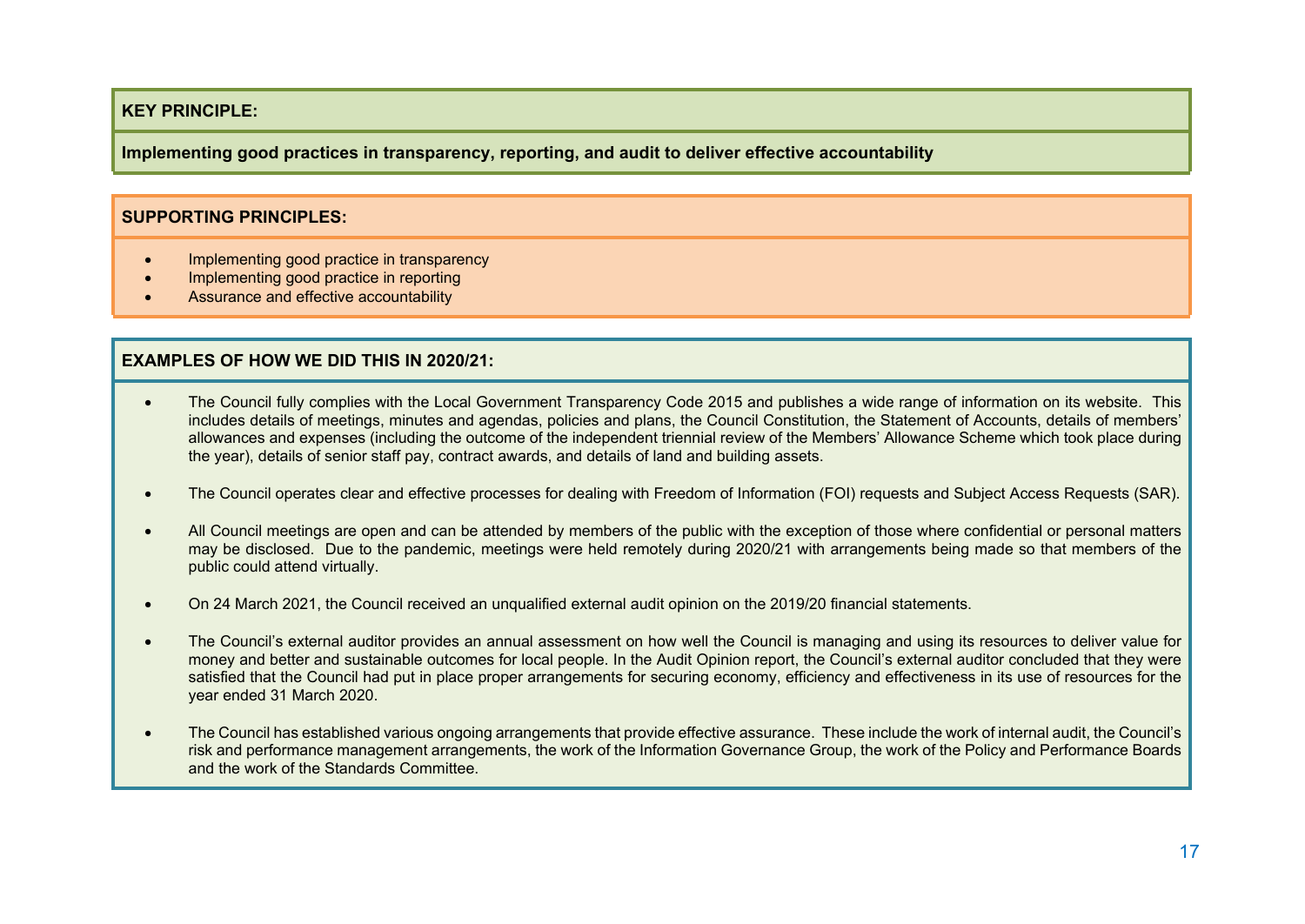**Implementing good practices in transparency, reporting, and audit to deliver effective accountability**

#### **SUPPORTING PRINCIPLES:**

- Implementing good practice in transparency
- Implementing good practice in reporting
- Assurance and effective accountability

- The Council fully complies with the Local Government Transparency Code 2015 and publishes a wide range of information on its website. This includes details of meetings, minutes and agendas, policies and plans, the Council Constitution, the Statement of Accounts, details of members' allowances and expenses (including the outcome of the independent triennial review of the Members' Allowance Scheme which took place during the year), details of senior staff pay, contract awards, and details of land and building assets.
- The Council operates clear and effective processes for dealing with Freedom of Information (FOI) requests and Subject Access Requests (SAR).
- All Council meetings are open and can be attended by members of the public with the exception of those where confidential or personal matters may be disclosed. Due to the pandemic, meetings were held remotely during 2020/21 with arrangements being made so that members of the public could attend virtually.
- On 24 March 2021, the Council received an unqualified external audit opinion on the 2019/20 financial statements.
- The Council's external auditor provides an annual assessment on how well the Council is managing and using its resources to deliver value for money and better and sustainable outcomes for local people. In the Audit Opinion report, the Council's external auditor concluded that they were satisfied that the Council had put in place proper arrangements for securing economy, efficiency and effectiveness in its use of resources for the year ended 31 March 2020.
- The Council has established various ongoing arrangements that provide effective assurance. These include the work of internal audit, the Council's risk and performance management arrangements, the work of the Information Governance Group, the work of the Policy and Performance Boards and the work of the Standards Committee.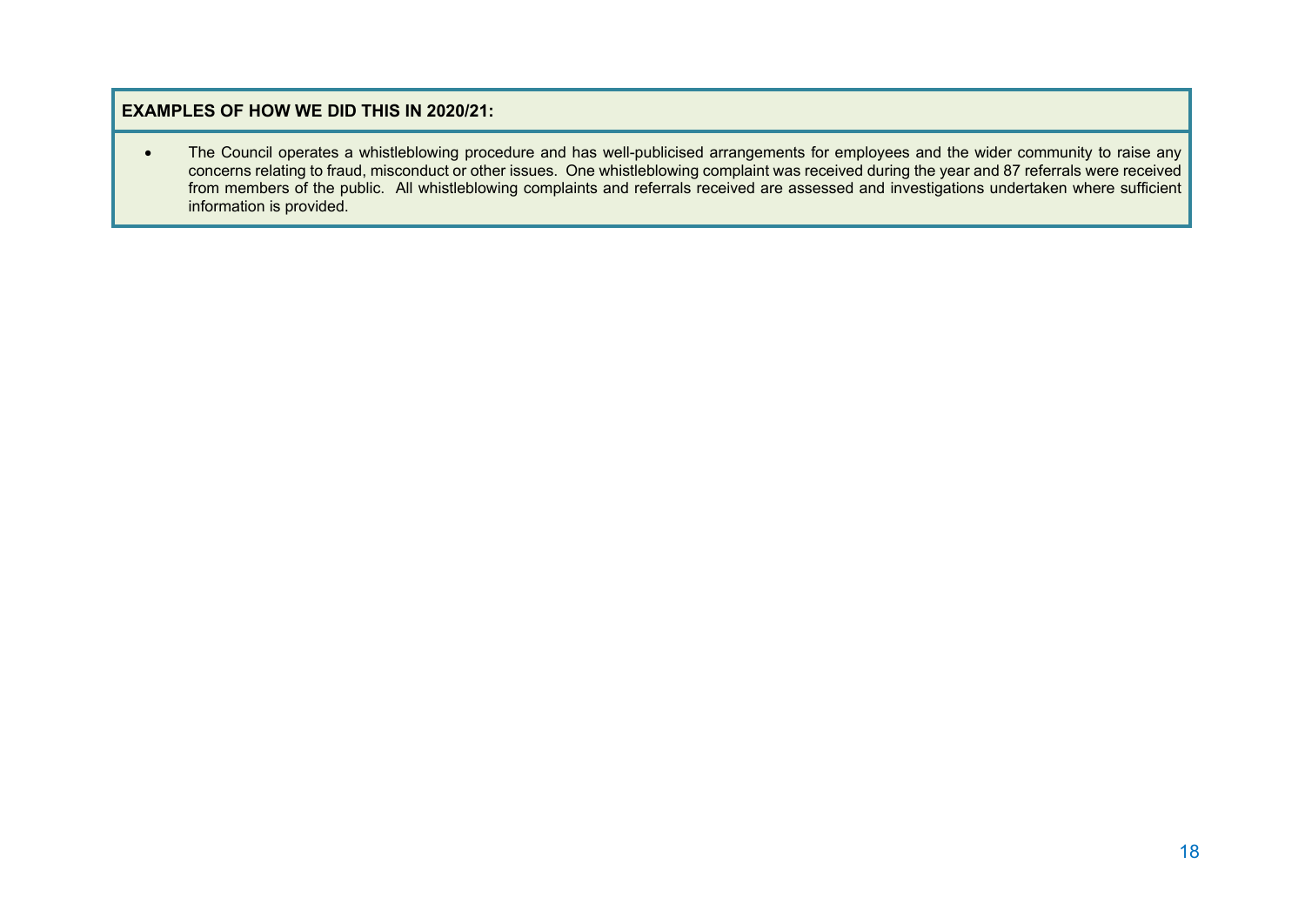The Council operates a whistleblowing procedure and has well-publicised arrangements for employees and the wider community to raise any concerns relating to fraud, misconduct or other issues. One whistleblowing complaint was received during the year and 87 referrals were received from members of the public. All whistleblowing complaints and referrals received are assessed and investigations undertaken where sufficient information is provided.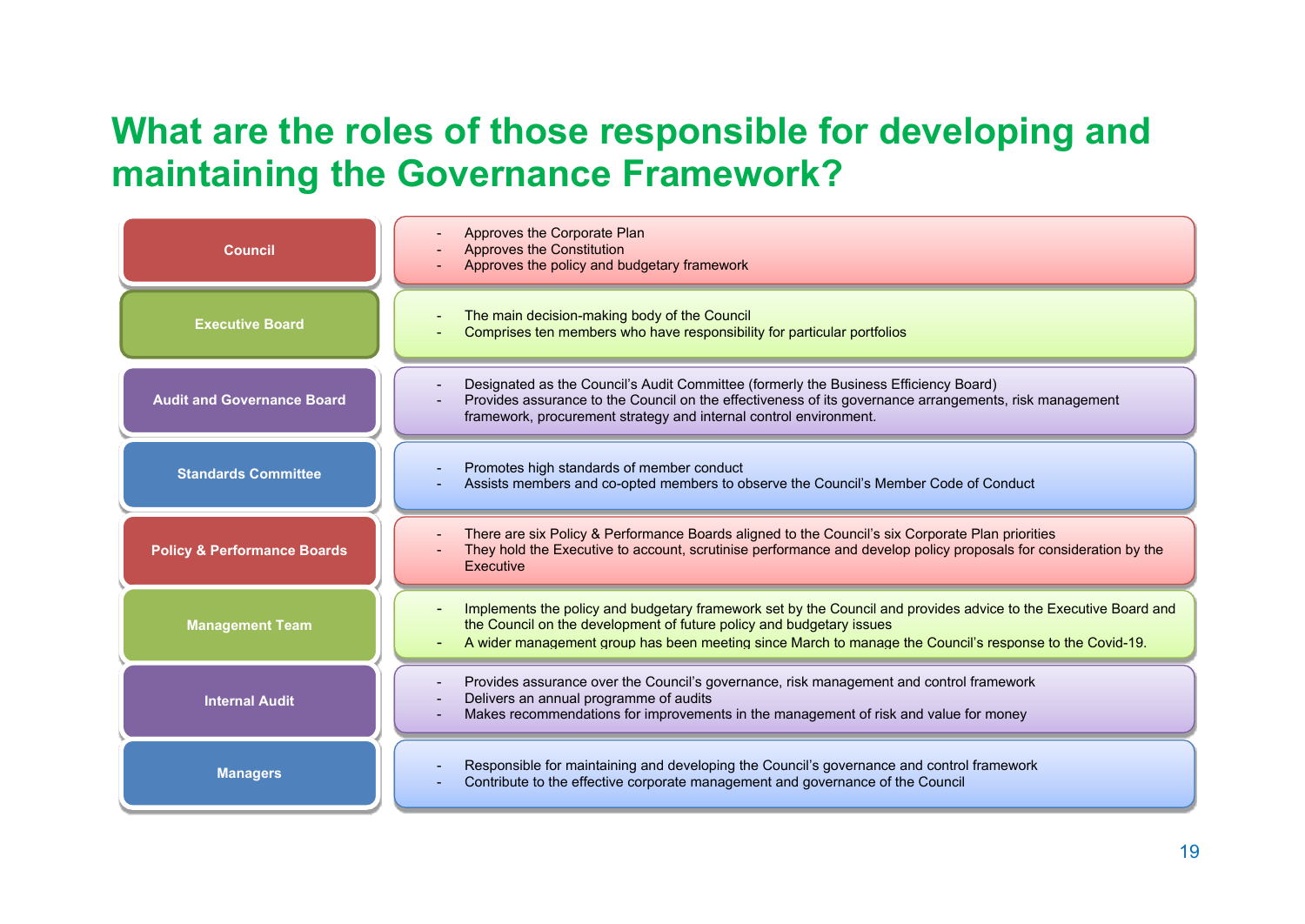## **What are the roles of those responsible for developing and maintaining the Governance Framework?**

| <b>Council</b>                         | Approves the Corporate Plan<br><b>Approves the Constitution</b><br>Approves the policy and budgetary framework                                                                                                                                                                                     |
|----------------------------------------|----------------------------------------------------------------------------------------------------------------------------------------------------------------------------------------------------------------------------------------------------------------------------------------------------|
| <b>Executive Board</b>                 | The main decision-making body of the Council<br>Comprises ten members who have responsibility for particular portfolios                                                                                                                                                                            |
| <b>Audit and Governance Board</b>      | Designated as the Council's Audit Committee (formerly the Business Efficiency Board)<br>Provides assurance to the Council on the effectiveness of its governance arrangements, risk management<br>framework, procurement strategy and internal control environment.                                |
| <b>Standards Committee</b>             | Promotes high standards of member conduct<br>Assists members and co-opted members to observe the Council's Member Code of Conduct                                                                                                                                                                  |
| <b>Policy &amp; Performance Boards</b> | There are six Policy & Performance Boards aligned to the Council's six Corporate Plan priorities<br>They hold the Executive to account, scrutinise performance and develop policy proposals for consideration by the<br>Executive                                                                  |
| <b>Management Team</b>                 | Implements the policy and budgetary framework set by the Council and provides advice to the Executive Board and<br>the Council on the development of future policy and budgetary issues<br>A wider management group has been meeting since March to manage the Council's response to the Covid-19. |
| <b>Internal Audit</b>                  | Provides assurance over the Council's governance, risk management and control framework<br>Delivers an annual programme of audits<br>Makes recommendations for improvements in the management of risk and value for money                                                                          |
| <b>Managers</b>                        | Responsible for maintaining and developing the Council's governance and control framework<br>Contribute to the effective corporate management and governance of the Council                                                                                                                        |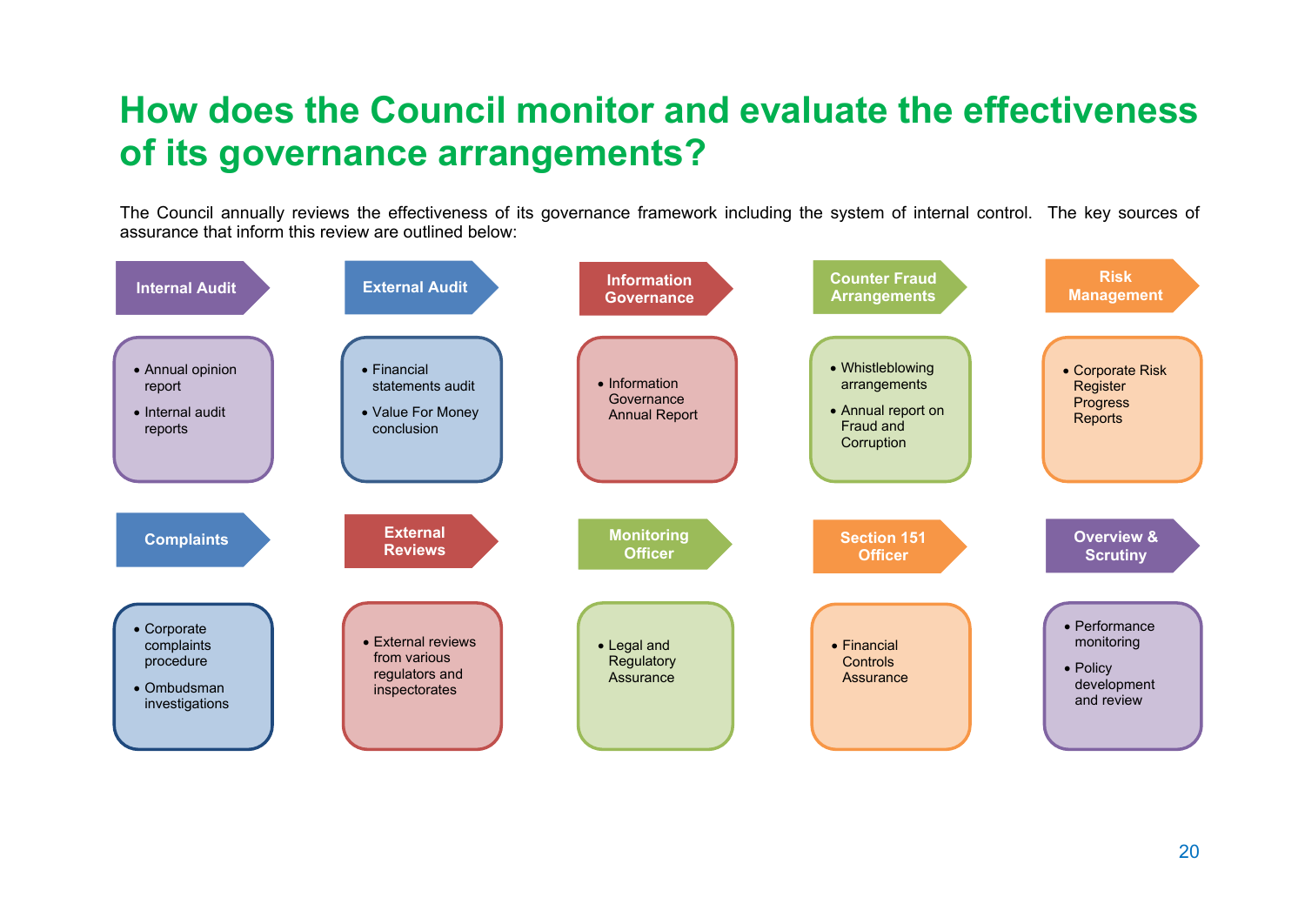### **How does the Council monitor and evaluate the effectiveness of its governance arrangements?**

The Council annually reviews the effectiveness of its governance framework including the system of internal control. The key sources of assurance that inform this review are outlined below:

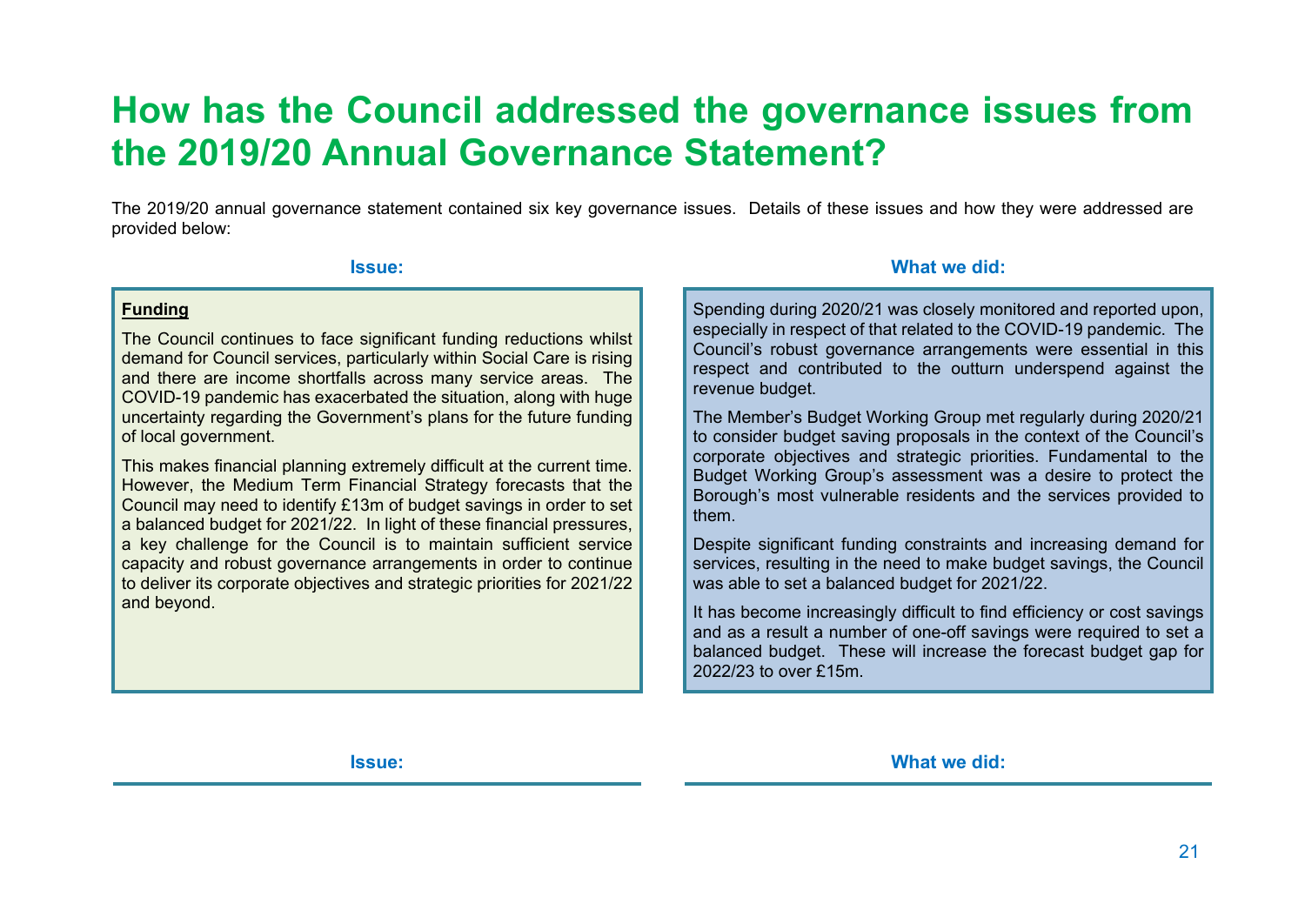### **How has the Council addressed the governance issues from the 2019/20 Annual Governance Statement?**

The 2019/20 annual governance statement contained six key governance issues. Details of these issues and how they were addressed are provided below:

#### **Funding**

The Council continues to face significant funding reductions whilst demand for Council services, particularly within Social Care is rising and there are income shortfalls across many service areas. The COVID-19 pandemic has exacerbated the situation, along with huge uncertainty regarding the Government's plans for the future funding of local government.

This makes financial planning extremely difficult at the current time. However, the Medium Term Financial Strategy forecasts that the Council may need to identify £13m of budget savings in order to set a balanced budget for 2021/22. In light of these financial pressures, a key challenge for the Council is to maintain sufficient service capacity and robust governance arrangements in order to continue to deliver its corporate objectives and strategic priorities for 2021/22 and beyond.

#### **Issue: What we did:**

Spending during 2020/21 was closely monitored and reported upon, especially in respect of that related to the COVID-19 pandemic. The Council's robust governance arrangements were essential in this respect and contributed to the outturn underspend against the revenue budget.

The Member's Budget Working Group met regularly during 2020/21 to consider budget saving proposals in the context of the Council's corporate objectives and strategic priorities. Fundamental to the Budget Working Group's assessment was a desire to protect the Borough's most vulnerable residents and the services provided to them.

Despite significant funding constraints and increasing demand for services, resulting in the need to make budget savings, the Council was able to set a balanced budget for 2021/22.

It has become increasingly difficult to find efficiency or cost savings and as a result a number of one-off savings were required to set a balanced budget. These will increase the forecast budget gap for 2022/23 to over £15m.

**Issue: What we did:**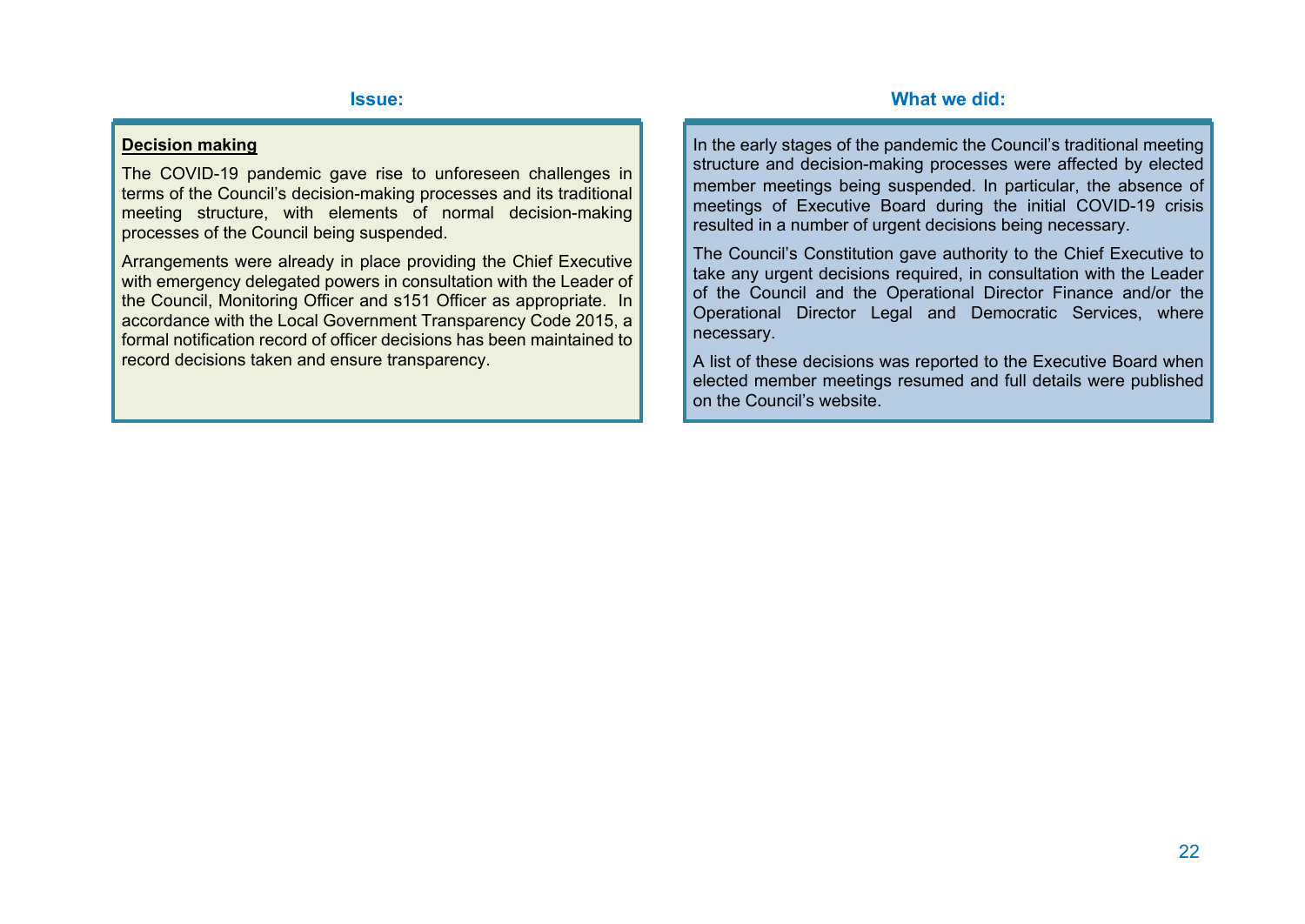#### **Decision making**

The COVID-19 pandemic gave rise to unforeseen challenges in terms of the Council's decision-making processes and its traditional meeting structure, with elements of normal decision-making processes of the Council being suspended.

Arrangements were already in place providing the Chief Executive with emergency delegated powers in consultation with the Leader of the Council, Monitoring Officer and s151 Officer as appropriate. In accordance with the Local Government Transparency Code 2015, a formal notification record of officer decisions has been maintained to record decisions taken and ensure transparency.

In the early stages of the pandemic the Council's traditional meeting structure and decision-making processes were affected by elected member meetings being suspended. In particular, the absence of meetings of Executive Board during the initial COVID-19 crisis resulted in a number of urgent decisions being necessary.

The Council's Constitution gave authority to the Chief Executive to take any urgent decisions required, in consultation with the Leader of the Council and the Operational Director Finance and/or the Operational Director Legal and Democratic Services, where necessary.

A list of these decisions was reported to the Executive Board when elected member meetings resumed and full details were published on the Council's website.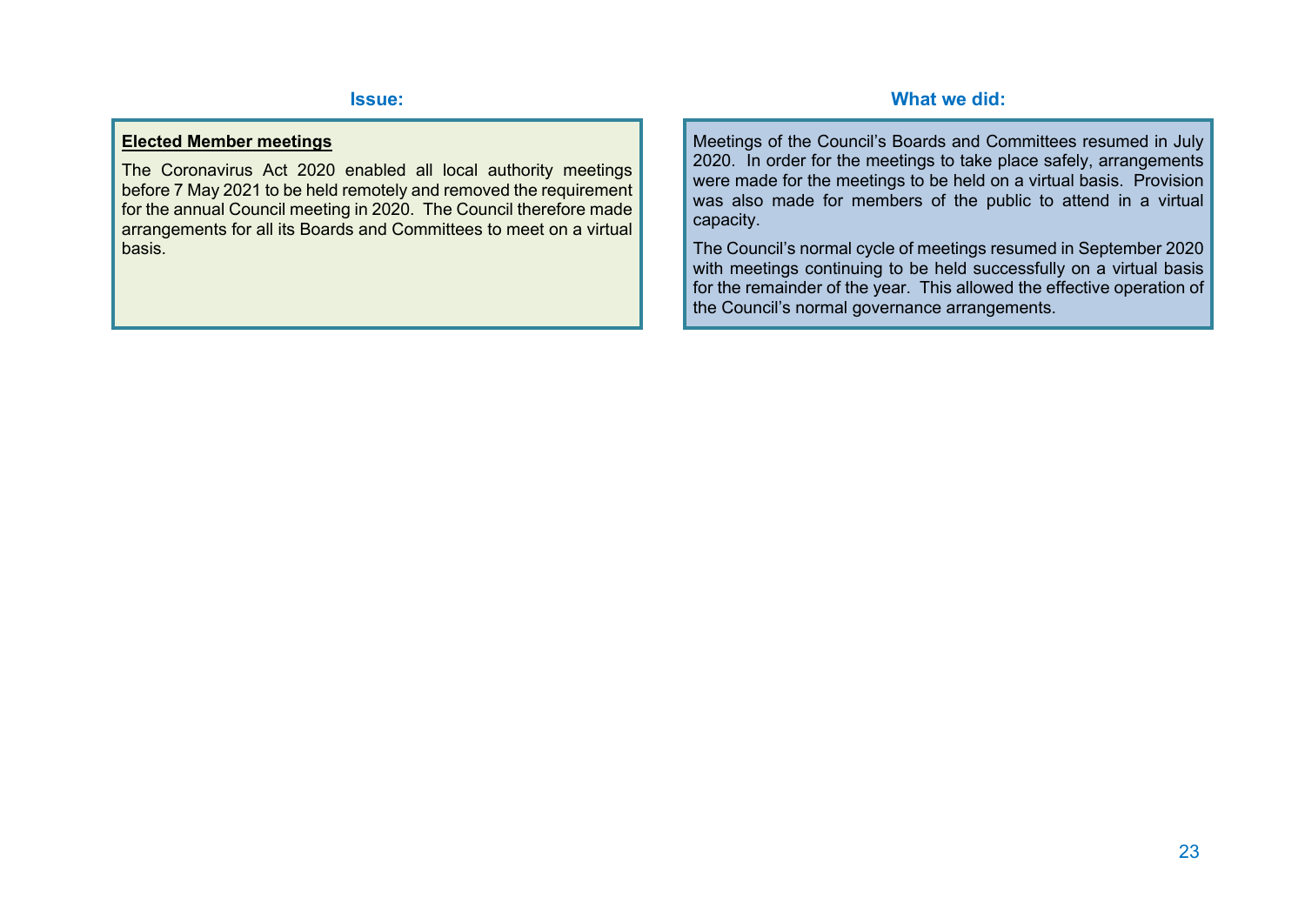#### **Elected Member meetings**

The Coronavirus Act 2020 enabled all local authority meetings before 7 May 2021 to be held remotely and removed the requirement for the annual Council meeting in 2020. The Council therefore made arrangements for all its Boards and Committees to meet on a virtual basis.

Meetings of the Council's Boards and Committees resumed in July 2020. In order for the meetings to take place safely, arrangements were made for the meetings to be held on a virtual basis. Provision was also made for members of the public to attend in a virtual capacity.

The Council's normal cycle of meetings resumed in September 2020 with meetings continuing to be held successfully on a virtual basis for the remainder of the year. This allowed the effective operation of the Council's normal governance arrangements.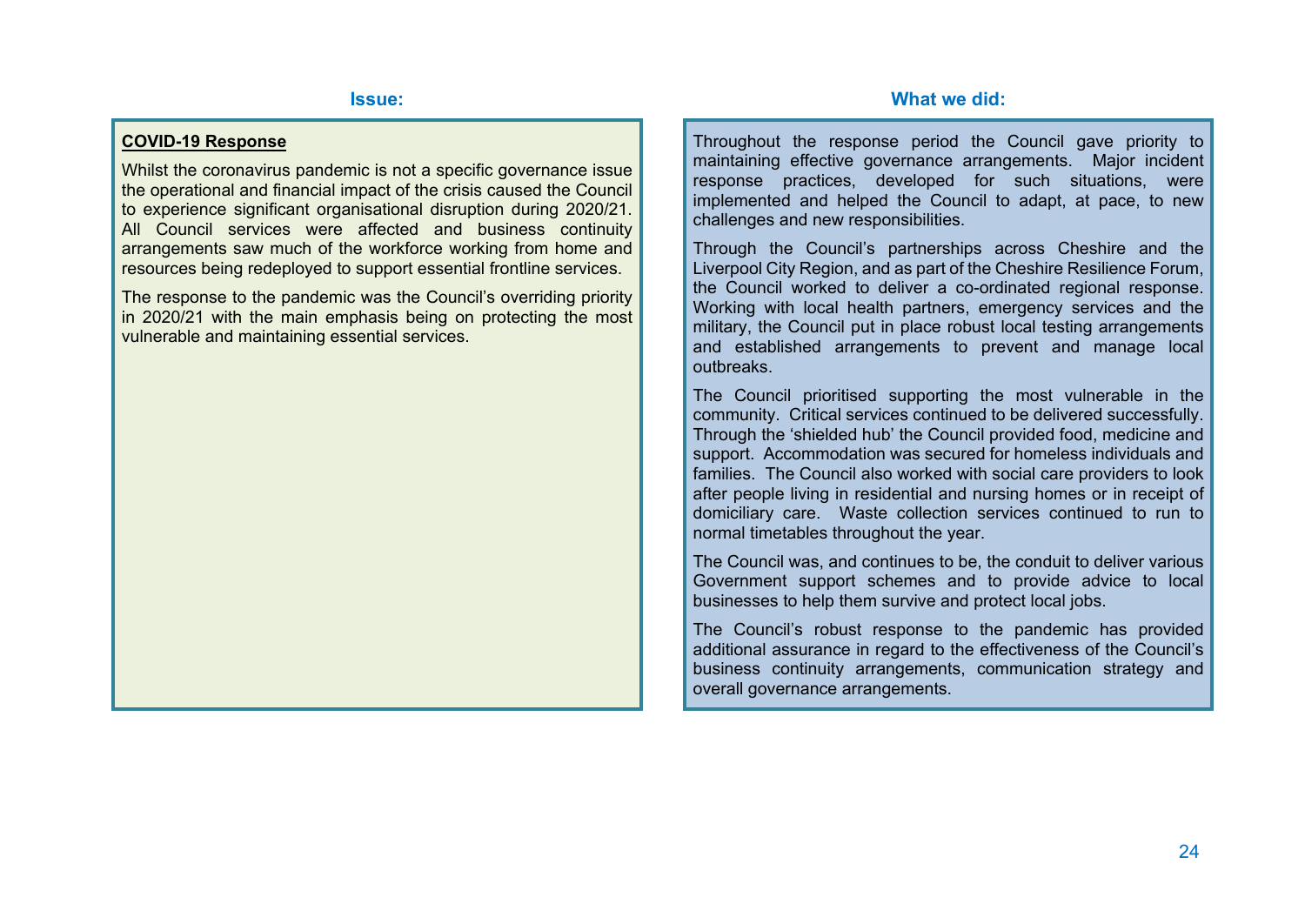#### **COVID-19 Response**

Whilst the coronavirus pandemic is not a specific governance issue the operational and financial impact of the crisis caused the Council to experience significant organisational disruption during 2020/21. All Council services were affected and business continuity arrangements saw much of the workforce working from home and resources being redeployed to support essential frontline services.

The response to the pandemic was the Council's overriding priority in 2020/21 with the main emphasis being on protecting the most vulnerable and maintaining essential services.

Throughout the response period the Council gave priority to maintaining effective governance arrangements. Major incident response practices, developed for such situations, were implemented and helped the Council to adapt, at pace, to new challenges and new responsibilities.

Through the Council's partnerships across Cheshire and the Liverpool City Region, and as part of the Cheshire Resilience Forum, the Council worked to deliver a co-ordinated regional response. Working with local health partners, emergency services and the military, the Council put in place robust local testing arrangements and established arrangements to prevent and manage local outbreaks.

The Council prioritised supporting the most vulnerable in the community. Critical services continued to be delivered successfully. Through the 'shielded hub' the Council provided food, medicine and support. Accommodation was secured for homeless individuals and families. The Council also worked with social care providers to look after people living in residential and nursing homes or in receipt of domiciliary care. Waste collection services continued to run to normal timetables throughout the year.

The Council was, and continues to be, the conduit to deliver various Government support schemes and to provide advice to local businesses to help them survive and protect local jobs.

The Council's robust response to the pandemic has provided additional assurance in regard to the effectiveness of the Council's business continuity arrangements, communication strategy and overall governance arrangements.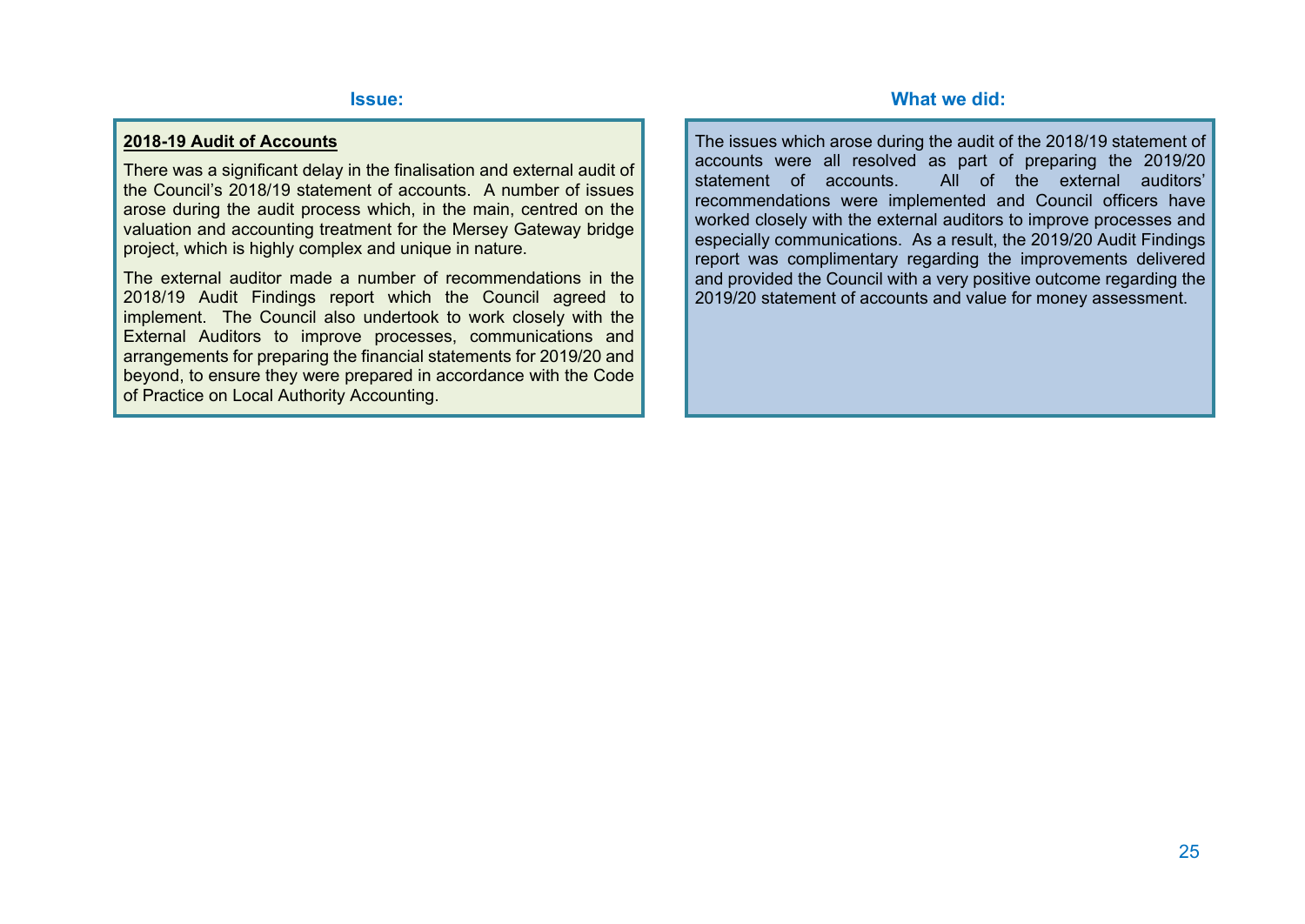#### **2018-19 Audit of Accounts**

There was a significant delay in the finalisation and external audit of the Council's 2018/19 statement of accounts. A number of issues arose during the audit process which, in the main, centred on the valuation and accounting treatment for the Mersey Gateway bridge project, which is highly complex and unique in nature.

The external auditor made a number of recommendations in the 2018/19 Audit Findings report which the Council agreed to implement. The Council also undertook to work closely with the External Auditors to improve processes, communications and arrangements for preparing the financial statements for 2019/20 and beyond, to ensure they were prepared in accordance with the Code of Practice on Local Authority Accounting.

The issues which arose during the audit of the 2018/19 statement of accounts were all resolved as part of preparing the 2019/20 statement of accounts. All of the external auditors' recommendations were implemented and Council officers have worked closely with the external auditors to improve processes and especially communications. As a result, the 2019/20 Audit Findings report was complimentary regarding the improvements delivered and provided the Council with a very positive outcome regarding the 2019/20 statement of accounts and value for money assessment.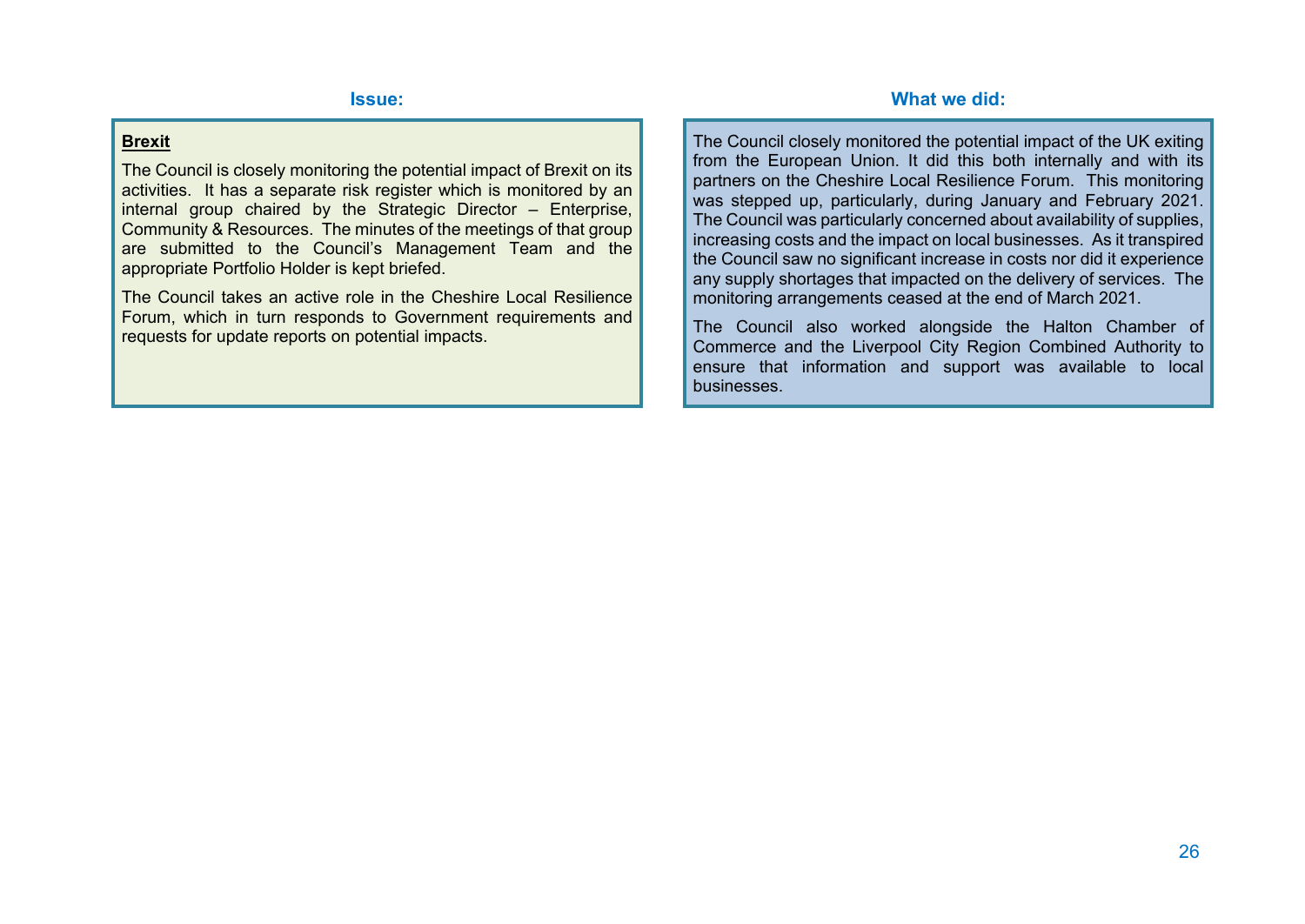#### **Brexit**

The Council is closely monitoring the potential impact of Brexit on its activities. It has a separate risk register which is monitored by an internal group chaired by the Strategic Director – Enterprise, Community & Resources. The minutes of the meetings of that group are submitted to the Council's Management Team and the appropriate Portfolio Holder is kept briefed.

The Council takes an active role in the Cheshire Local Resilience Forum, which in turn responds to Government requirements and requests for update reports on potential impacts.

The Council closely monitored the potential impact of the UK exiting from the European Union. It did this both internally and with its partners on the Cheshire Local Resilience Forum. This monitoring was stepped up, particularly, during January and February 2021. The Council was particularly concerned about availability of supplies, increasing costs and the impact on local businesses. As it transpired the Council saw no significant increase in costs nor did it experience any supply shortages that impacted on the delivery of services. The monitoring arrangements ceased at the end of March 2021.

The Council also worked alongside the Halton Chamber of Commerce and the Liverpool City Region Combined Authority to ensure that information and support was available to local businesses.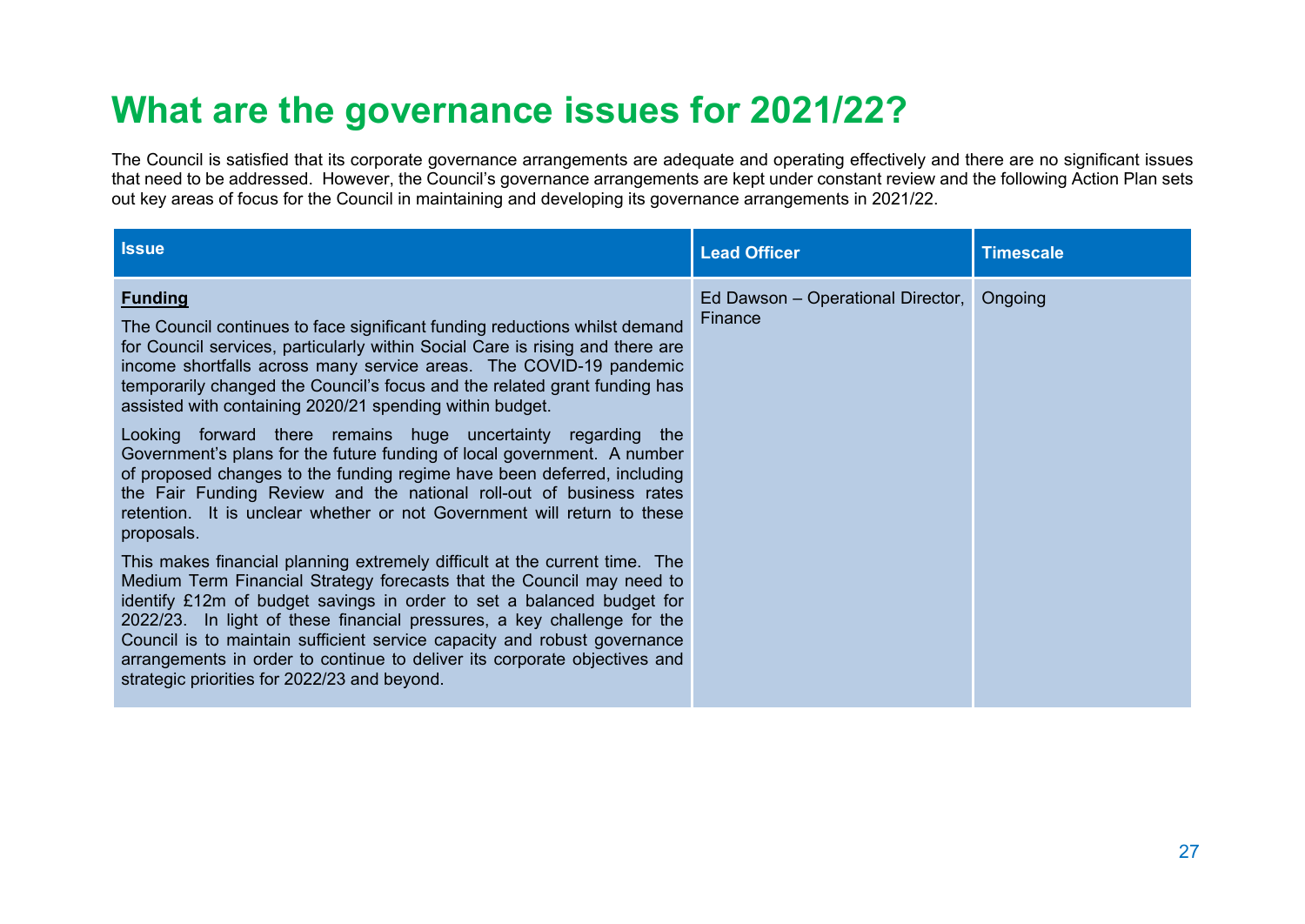## **What are the governance issues for 2021/22?**

The Council is satisfied that its corporate governance arrangements are adequate and operating effectively and there are no significant issues that need to be addressed. However, the Council's governance arrangements are kept under constant review and the following Action Plan sets out key areas of focus for the Council in maintaining and developing its governance arrangements in 2021/22.

| <b>Issue</b>                                                                                                                                                                                                                                                                                                                                                                                                                                                                                                     | <b>Lead Officer</b>                          | <b>Timescale</b> |
|------------------------------------------------------------------------------------------------------------------------------------------------------------------------------------------------------------------------------------------------------------------------------------------------------------------------------------------------------------------------------------------------------------------------------------------------------------------------------------------------------------------|----------------------------------------------|------------------|
| <b>Funding</b><br>The Council continues to face significant funding reductions whilst demand<br>for Council services, particularly within Social Care is rising and there are<br>income shortfalls across many service areas. The COVID-19 pandemic<br>temporarily changed the Council's focus and the related grant funding has<br>assisted with containing 2020/21 spending within budget.                                                                                                                     | Ed Dawson - Operational Director,<br>Finance | Ongoing          |
| Looking forward there remains huge uncertainty regarding<br>the<br>Government's plans for the future funding of local government. A number<br>of proposed changes to the funding regime have been deferred, including<br>the Fair Funding Review and the national roll-out of business rates<br>retention. It is unclear whether or not Government will return to these<br>proposals.                                                                                                                            |                                              |                  |
| This makes financial planning extremely difficult at the current time. The<br>Medium Term Financial Strategy forecasts that the Council may need to<br>identify £12m of budget savings in order to set a balanced budget for<br>2022/23. In light of these financial pressures, a key challenge for the<br>Council is to maintain sufficient service capacity and robust governance<br>arrangements in order to continue to deliver its corporate objectives and<br>strategic priorities for 2022/23 and beyond. |                                              |                  |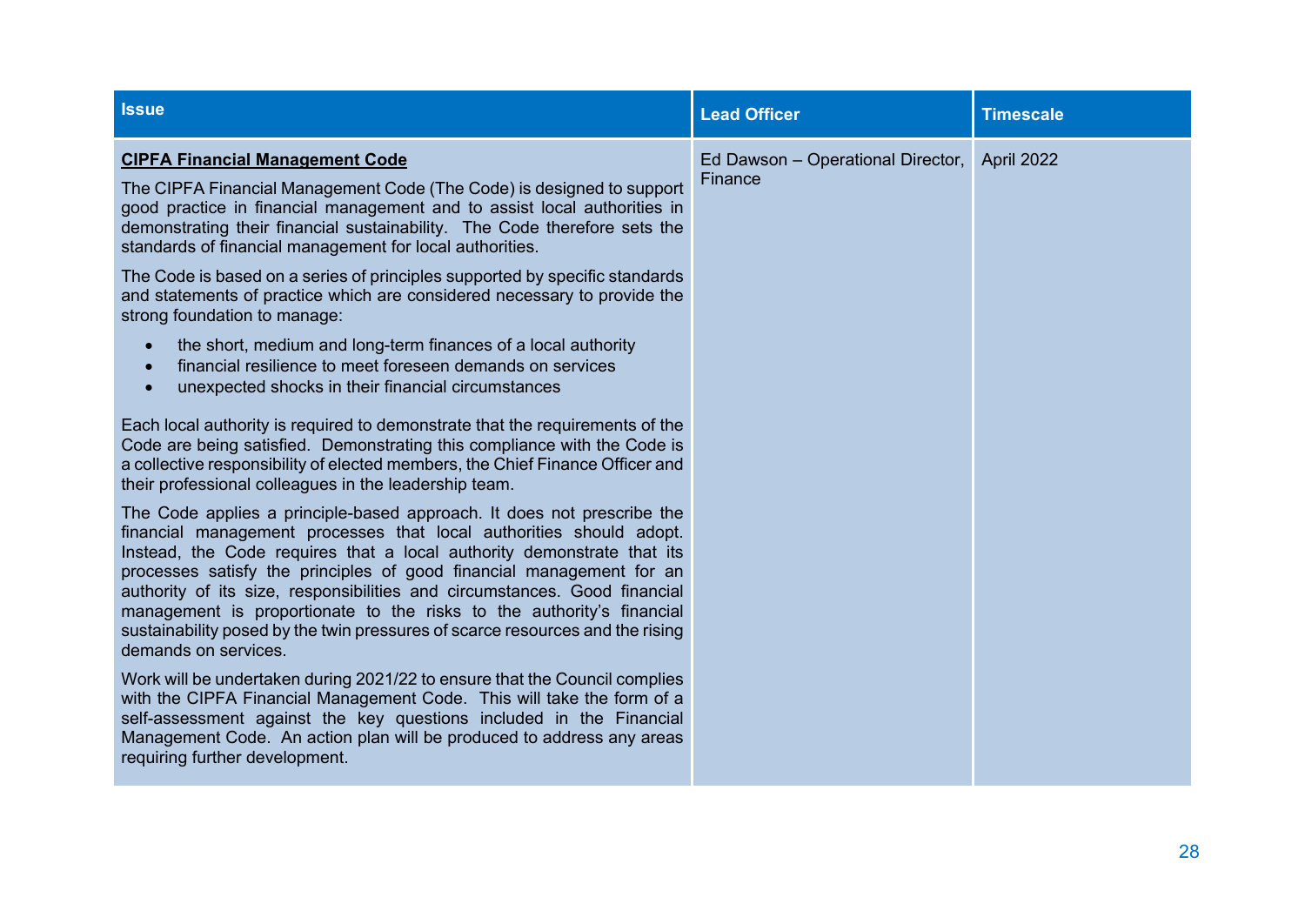| <b>Issue</b>                                                                                                                                                                                                                                                                                                                                                                                                                                                                                                                                                                                                                                                                                                                                                                                                                                                                                                                                                                                                                                                                                                                                                                                                                                                                                                                                                                                                                                                                                                                                                                                                                                                                                                                                                                                                                                                                                                                               | <b>Lead Officer</b>                                     | <b>Timescale</b> |
|--------------------------------------------------------------------------------------------------------------------------------------------------------------------------------------------------------------------------------------------------------------------------------------------------------------------------------------------------------------------------------------------------------------------------------------------------------------------------------------------------------------------------------------------------------------------------------------------------------------------------------------------------------------------------------------------------------------------------------------------------------------------------------------------------------------------------------------------------------------------------------------------------------------------------------------------------------------------------------------------------------------------------------------------------------------------------------------------------------------------------------------------------------------------------------------------------------------------------------------------------------------------------------------------------------------------------------------------------------------------------------------------------------------------------------------------------------------------------------------------------------------------------------------------------------------------------------------------------------------------------------------------------------------------------------------------------------------------------------------------------------------------------------------------------------------------------------------------------------------------------------------------------------------------------------------------|---------------------------------------------------------|------------------|
| <b>CIPFA Financial Management Code</b><br>The CIPFA Financial Management Code (The Code) is designed to support<br>good practice in financial management and to assist local authorities in<br>demonstrating their financial sustainability. The Code therefore sets the<br>standards of financial management for local authorities.<br>The Code is based on a series of principles supported by specific standards<br>and statements of practice which are considered necessary to provide the<br>strong foundation to manage:<br>the short, medium and long-term finances of a local authority<br>$\bullet$<br>financial resilience to meet foreseen demands on services<br>$\bullet$<br>unexpected shocks in their financial circumstances<br>$\bullet$<br>Each local authority is required to demonstrate that the requirements of the<br>Code are being satisfied. Demonstrating this compliance with the Code is<br>a collective responsibility of elected members, the Chief Finance Officer and<br>their professional colleagues in the leadership team.<br>The Code applies a principle-based approach. It does not prescribe the<br>financial management processes that local authorities should adopt.<br>Instead, the Code requires that a local authority demonstrate that its<br>processes satisfy the principles of good financial management for an<br>authority of its size, responsibilities and circumstances. Good financial<br>management is proportionate to the risks to the authority's financial<br>sustainability posed by the twin pressures of scarce resources and the rising<br>demands on services.<br>Work will be undertaken during 2021/22 to ensure that the Council complies<br>with the CIPFA Financial Management Code. This will take the form of a<br>self-assessment against the key questions included in the Financial<br>Management Code. An action plan will be produced to address any areas | Ed Dawson - Operational Director, April 2022<br>Finance |                  |
| requiring further development.                                                                                                                                                                                                                                                                                                                                                                                                                                                                                                                                                                                                                                                                                                                                                                                                                                                                                                                                                                                                                                                                                                                                                                                                                                                                                                                                                                                                                                                                                                                                                                                                                                                                                                                                                                                                                                                                                                             |                                                         |                  |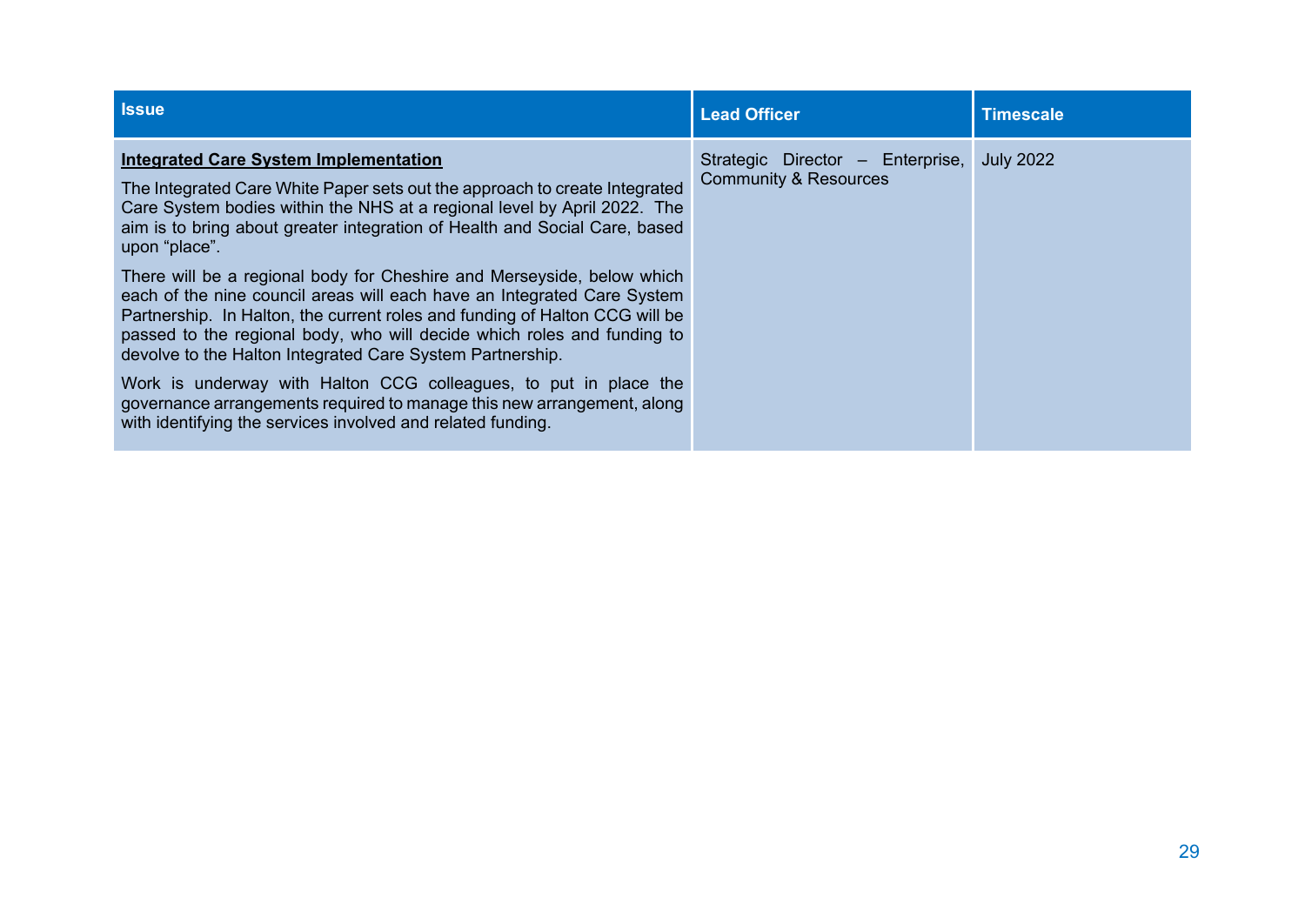| <b>Issue</b>                                                                                                                                                                                                                                                                                                                                                             | <b>Lead Officer</b>                                                  | <b>Timescale</b> |
|--------------------------------------------------------------------------------------------------------------------------------------------------------------------------------------------------------------------------------------------------------------------------------------------------------------------------------------------------------------------------|----------------------------------------------------------------------|------------------|
| <b>Integrated Care System Implementation</b><br>The Integrated Care White Paper sets out the approach to create Integrated<br>Care System bodies within the NHS at a regional level by April 2022. The<br>aim is to bring about greater integration of Health and Social Care, based<br>upon "place".                                                                    | Strategic Director - Enterprise,<br><b>Community &amp; Resources</b> | <b>July 2022</b> |
| There will be a regional body for Cheshire and Merseyside, below which<br>each of the nine council areas will each have an Integrated Care System<br>Partnership. In Halton, the current roles and funding of Halton CCG will be<br>passed to the regional body, who will decide which roles and funding to<br>devolve to the Halton Integrated Care System Partnership. |                                                                      |                  |
| Work is underway with Halton CCG colleagues, to put in place the<br>governance arrangements required to manage this new arrangement, along<br>with identifying the services involved and related funding.                                                                                                                                                                |                                                                      |                  |